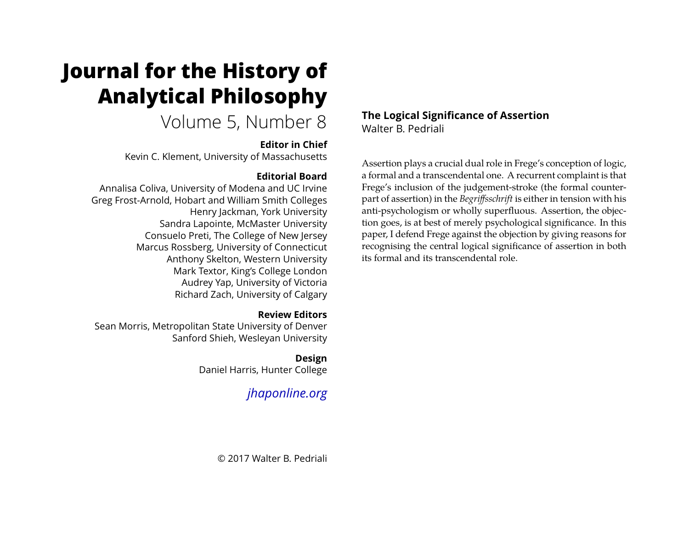# **Journal for the History of Analytical Philosophy**

## Volume 5, Number 8

### **Editor in Chief**

Kevin C. Klement, University of Massachusetts

## **Editorial Board**

Annalisa Coliva, University of Modena and UC Irvine Greg Frost-Arnold, Hobart and William Smith Colleges Henry Jackman, York University Sandra Lapointe, McMaster University Consuelo Preti, The College of New Jersey Marcus Rossberg, University of Connecticut Anthony Skelton, Western University Mark Textor, King's College London Audrey Yap, University of Victoria Richard Zach, University of Calgary

## **Review Editors**

Sean Morris, Metropolitan State University of Denver Sanford Shieh, Wesleyan University

## **Design**

Daniel Harris, Hunter College

## *[jhaponline.org](https://jhaponline.org)*

## **The Logical Significance of Assertion**

Walter B. Pedriali

Assertion plays a crucial dual role in Frege's conception of logic, a formal and a transcendental one. A recurrent complaint is that Frege's inclusion of the judgement-stroke (the formal counterpart of assertion) in the *Begriffsschrift* is either in tension with his anti-psychologism or wholly superfluous. Assertion, the objection goes, is at best of merely psychological significance. In this paper, I defend Frege against the objection by giving reasons for recognising the central logical significance of assertion in both its formal and its transcendental role.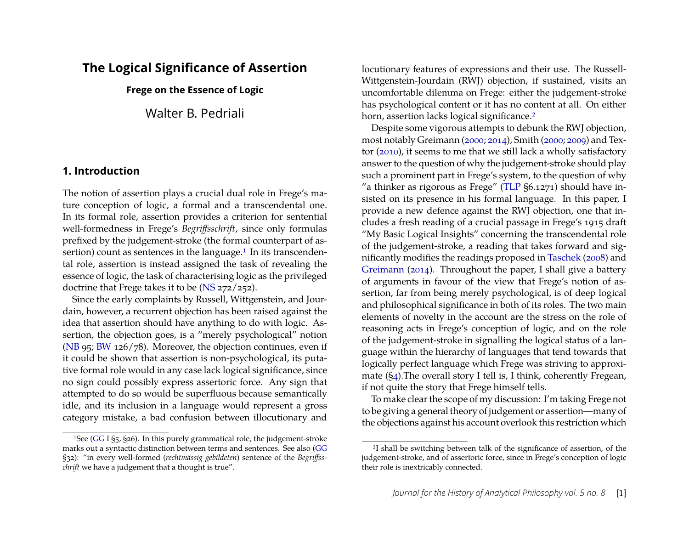## **The Logical Significance of Assertion**

**Frege on the Essence of Logic**

Walter B. Pedriali

#### **1. Introduction**

The notion of assertion plays a crucial dual role in Frege's mature conception of logic, a formal and a transcendental one. In its formal role, assertion provides a criterion for sentential well-formedness in Frege's *Begriffsschrift*, since only formulas prefixed by the judgement-stroke (the formal counterpart of assertion) count as sentences in the language.<sup>1</sup> In its transcendental role, assertion is instead assigned the task of revealing the essence of logic, the task of characterising logic as the privileged doctrine that Frege takes it to be [\(NS](#page-19-0) 272/252).

Since the early complaints by Russell, Wittgenstein, and Jourdain, however, a recurrent objection has been raised against the idea that assertion should have anything to do with logic. Assertion, the objection goes, is a "merely psychological" notion [\(NB](#page-19-1) 95; [BW](#page-19-2) 126/78). Moreover, the objection continues, even if it could be shown that assertion is non-psychological, its putative formal role would in any case lack logical significance, since no sign could possibly express assertoric force. Any sign that attempted to do so would be superfluous because semantically idle, and its inclusion in a language would represent a gross category mistake, a bad confusion between illocutionary and

locutionary features of expressions and their use. The Russell-Wittgenstein-Jourdain (RWJ) objection, if sustained, visits an uncomfortable dilemma on Frege: either the judgement-stroke has psychological content or it has no content at all. On either horn, assertion lacks logical significance.<sup>2</sup>

Despite some vigorous attempts to debunk the RWJ objection, most notably Greimann [\(2000;](#page-20-0) [2014\)](#page-20-1), Smith [\(2000;](#page-22-0) [2009\)](#page-22-1) and Textor [\(2010\)](#page-22-2), it seems to me that we still lack a wholly satisfactory answer to the question of why the judgement-stroke should play such a prominent part in Frege's system, to the question of why "a thinker as rigorous as Frege" [\(TLP](#page-19-4) §6.1271) should have insisted on its presence in his formal language. In this paper, I provide a new defence against the RWJ objection, one that includes a fresh reading of a crucial passage in Frege's 1915 draft "My Basic Logical Insights" concerning the transcendental role of the judgement-stroke, a reading that takes forward and significantly modifies the readings proposed in [Taschek](#page-22-3) [\(2008\)](#page-22-3) and [Greimann](#page-20-1) [\(2014\)](#page-20-1). Throughout the paper, I shall give a battery of arguments in favour of the view that Frege's notion of assertion, far from being merely psychological, is of deep logical and philosophical significance in both of its roles. The two main elements of novelty in the account are the stress on the role of reasoning acts in Frege's conception of logic, and on the role of the judgement-stroke in signalling the logical status of a language within the hierarchy of languages that tend towards that logically perfect language which Frege was striving to approximate ([§4\)](#page-12-0).The overall story I tell is, I think, coherently Fregean, if not quite the story that Frege himself tells.

To make clear the scope of my discussion: I'm taking Frege not to be giving a general theory of judgement or assertion—many of the objections against his account overlook this restriction which

<span id="page-1-0"></span><sup>1</sup>See [\(GG](#page-19-3) I §5, §26). In this purely grammatical role, the judgement-stroke marks out a syntactic distinction between terms and sentences. See also [\(GG](#page-19-3) §32): "in every well-formed (*rechtmässig gebildeten*) sentence of the *Begriffsschrift* we have a judgement that a thought is true".

<span id="page-1-1"></span><sup>2</sup>I shall be switching between talk of the significance of assertion, of the judgement-stroke, and of assertoric force, since in Frege's conception of logic their role is inextricably connected.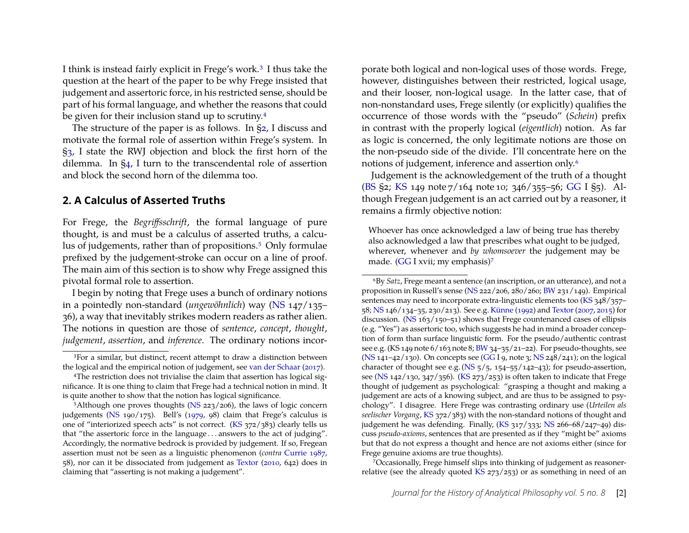I think is instead fairly explicit in Frege's work[.3](#page-2-0) I thus take the question at the heart of the paper to be why Frege insisted that judgement and assertoric force, in his restricted sense, should be part of his formal language, and whether the reasons that could be given for their inclusion stand up to scrutiny[.4](#page-2-1)

The structure of the paper is as follows. In [§2,](#page-2-2) I discuss and motivate the formal role of assertion within Frege's system. In [§3,](#page-9-0) I state the RWJ objection and block the first horn of the dilemma. In [§4,](#page-12-0) I turn to the transcendental role of assertion and block the second horn of the dilemma too.

### <span id="page-2-2"></span>**2. A Calculus of Asserted Truths**

For Frege, the *Begriffsschrift*, the formal language of pure thought, is and must be a calculus of asserted truths, a calculus of judgements, rather than of propositions.<sup>5</sup> Only formulae prefixed by the judgement-stroke can occur on a line of proof. The main aim of this section is to show why Frege assigned this pivotal formal role to assertion.

I begin by noting that Frege uses a bunch of ordinary notions in a pointedly non-standard (*ungewöhnlich*) way [\(NS](#page-19-0) 147/135– 36), a way that inevitably strikes modern readers as rather alien. The notions in question are those of *sentence*, *concept*, *thought*, *judgement*, *assertion*, and *inference*. The ordinary notions incor-

porate both logical and non-logical uses of those words. Frege, however, distinguishes between their restricted, logical usage, and their looser, non-logical usage. In the latter case, that of non-nonstandard uses, Frege silently (or explicitly) qualifies the occurrence of those words with the "pseudo" (*Schein*) prefix in contrast with the properly logical (*eigentlich*) notion. As far as logic is concerned, the only legitimate notions are those on the non-pseudo side of the divide. I'll concentrate here on the notions of judgement, inference and assertion only[.6](#page-2-4)

Judgement is the acknowledgement of the truth of a thought [\(BS](#page-19-7) §2; [KS](#page-19-6) 149 note 7/164 note 10; 346/355–56; [GG](#page-19-3) I §5). Although Fregean judgement is an act carried out by a reasoner, it remains a firmly objective notion:

Whoever has once acknowledged a law of being true has thereby also acknowledged a law that prescribes what ought to be judged, wherever, whenever and *by whomsoever* the judgement may be made. [\(GG](#page-19-3) I xvii; my emphasis)<sup>7</sup>

<span id="page-2-5"></span>7Occasionally, Frege himself slips into thinking of judgement as reasonerrelative (see the already quoted  $KS$  273/253) or as something in need of an

<span id="page-2-0"></span><sup>&</sup>lt;sup>3</sup>For a similar, but distinct, recent attempt to draw a distinction between the logical and the empirical notion of judgement, see [van der Schaar](#page-22-4) [\(2017\)](#page-22-4).

<span id="page-2-1"></span><sup>4</sup>The restriction does not trivialise the claim that assertion has logical significance. It is one thing to claim that Frege had a technical notion in mind. It is quite another to show that the notion has logical significance.

<span id="page-2-3"></span> $5$ Although one proves thoughts [\(NS](#page-19-0) 223/206), the laws of logic concern judgements [\(NS](#page-19-0) 190/175). Bell's [\(1979,](#page-19-5) 98) claim that Frege's calculus is one of "interiorized speech acts" is not correct. [\(KS](#page-19-6) 372/383) clearly tells us that "the assertoric force in the language . . . answers to the act of judging". Accordingly, the normative bedrock is provided by judgement. If so, Fregean assertion must not be seen as a linguistic phenomenon (*contra* [Currie](#page-20-2) [1987,](#page-20-2) 58), nor can it be dissociated from judgement as [Textor](#page-22-2) [\(2010,](#page-22-2) 642) does in claiming that "asserting is not making a judgement".

<span id="page-2-4"></span><sup>6</sup>By *Satz*, Frege meant a sentence (an inscription, or an utterance), and not a proposition in Russell's sense [\(NS](#page-19-0) 222/206, 280/260; [BW](#page-19-2) 231/149). Empirical sentences may need to incorporate extra-linguistic elements too [\(KS](#page-19-6) 348/357– 58; [NS](#page-19-0) 146/134–35, 230/213). See e.g. [Künne](#page-21-0) [\(1992\)](#page-21-0) and [Textor\(2007,](#page-22-5) [2015\)](#page-22-6) for discussion. [\(NS](#page-19-0) 163/150–51) shows that Frege countenanced cases of ellipsis (e.g. "Yes") as assertoric too, which suggests he had in mind a broader conception of form than surface linguistic form. For the pseudo/authentic contrast see e.g. (KS 149 note  $6/163$  note 8; [BW](#page-19-2) 34-35/21-22). For pseudo-thoughts, see [\(NS](#page-19-0)  $141-42/130$ ). On concepts see [\(GG](#page-19-3) I 9, note 3; [NS](#page-19-0)  $248/241$ ); on the logical character of thought see e.g. [\(NS](#page-19-0)  $\frac{5}{5}$ ,  $\frac{154}{-55}$ / $\frac{142}{-43}$ ); for pseudo-assertion, see [\(NS](#page-19-0)  $142/130$ ,  $347/356$ ). [\(KS](#page-19-6)  $273/253$ ) is often taken to indicate that Frege thought of judgement as psychological: "grasping a thought and making a judgement are acts of a knowing subject, and are thus to be assigned to psychology". I disagree. Here Frege was contrasting ordinary use (*Urteilen als seelischer Vorgang*, [KS](#page-19-6) 372/383) with the non-standard notions of thought and judgement he was defending. Finally, [\(KS](#page-19-6) 317/333; [NS](#page-19-0) 266-68/247-49) discuss *pseudo-axioms*, sentences that are presented as if they "might be" axioms but that do not express a thought and hence are not axioms either (since for Frege genuine axioms are true thoughts).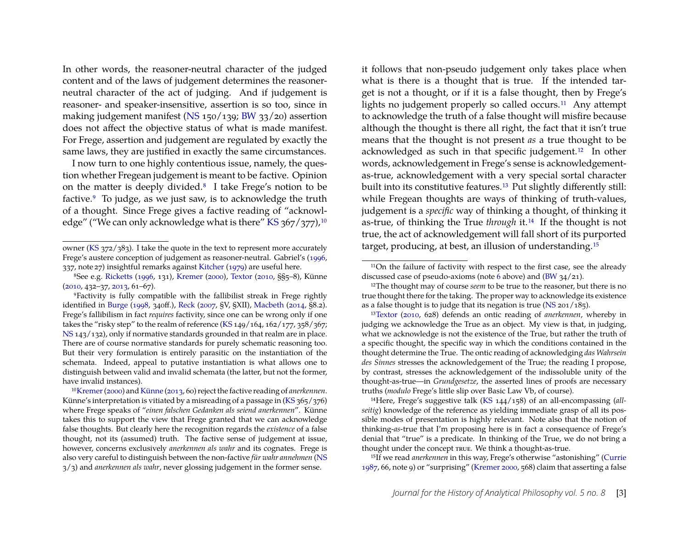In other words, the reasoner-neutral character of the judged content and of the laws of judgement determines the reasonerneutral character of the act of judging. And if judgement is reasoner- and speaker-insensitive, assertion is so too, since in making judgement manifest [\(NS](#page-19-0) 150/139; [BW](#page-19-2) 33/20) assertion does not affect the objective status of what is made manifest. For Frege, assertion and judgement are regulated by exactly the same laws, they are justified in exactly the same circumstances.

I now turn to one highly contentious issue, namely, the question whether Fregean judgement is meant to be factive. Opinion on the matter is deeply divided[.8](#page-3-0) I take Frege's notion to be factive[.9](#page-3-1) To judge, as we just saw, is to acknowledge the truth of a thought. Since Frege gives a factive reading of "acknowl-edge" ("We can only acknowledge what is there" [KS](#page-19-6)  $367/377$ ),<sup>10</sup>

it follows that non-pseudo judgement only takes place when what is there is a thought that is true. If the intended target is not a thought, or if it is a false thought, then by Frege's lights no judgement properly so called occurs.<sup>11</sup> Any attempt to acknowledge the truth of a false thought will misfire because although the thought is there all right, the fact that it isn't true means that the thought is not present *as* a true thought to be acknowledged as such in that specific judgement[.12](#page-3-4) In other words, acknowledgement in Frege's sense is acknowledgementas-true, acknowledgement with a very special sortal character built into its constitutive features[.13](#page-3-5) Put slightly differently still: while Fregean thoughts are ways of thinking of truth-values, judgement is a *specific* way of thinking a thought, of thinking it as-true, of thinking the True *through* it[.14](#page-3-6) If the thought is not true, the act of acknowledgement will fall short of its purported target, producing, at best, an illusion of understanding[.15](#page-3-7)

<span id="page-3-6"></span>14Here, Frege's suggestive talk [\(KS](#page-19-6) 144/158) of an all-encompassing (*allseitig*) knowledge of the reference as yielding immediate grasp of all its possible modes of presentation is highly relevant. Note also that the notion of thinking-*as*-true that I'm proposing here is in fact a consequence of Frege's denial that "true" is a predicate. In thinking of the True, we do not bring a thought under the concept true. We think a thought-as-true.

<span id="page-3-7"></span>15If we read *anerkennen* in this way, Frege's otherwise "astonishing" [\(Currie](#page-20-2) [1987,](#page-20-2) 66, note 9) or "surprising" [\(Kremer](#page-21-2) [2000,](#page-21-2) 568) claim that asserting a false

owner [\(KS](#page-19-6) 372/383). I take the quote in the text to represent more accurately Frege's austere conception of judgement as reasoner-neutral. Gabriel's [\(1996,](#page-20-3) 337, note 27) insightful remarks against [Kitcher](#page-21-1) [\(1979\)](#page-21-1) are useful here.

<span id="page-3-0"></span><sup>8</sup>See e.g. [Ricketts](#page-22-7) [\(1996,](#page-22-7) 131), [Kremer](#page-21-2) [\(2000\)](#page-21-2), [Textor](#page-22-2) [\(2010,](#page-22-2) §§5–8), Künne [\(2010,](#page-21-3) 432–37, [2013,](#page-21-4) 61–67).

<span id="page-3-1"></span><sup>9</sup>Factivity is fully compatible with the fallibilist streak in Frege rightly identified in [Burge](#page-19-8) [\(1998,](#page-19-8) 340ff.), [Reck](#page-21-5) [\(2007,](#page-21-5) §V, §XII), [Macbeth](#page-21-6) [\(2014,](#page-21-6) §8.2). Frege's fallibilism in fact *requires* factivity, since one can be wrong only if one takes the "risky step" to the realm of reference  $(KS 149/164, 162/177, 358/367;$  $(KS 149/164, 162/177, 358/367;$ [NS](#page-19-0) 143/132), only if normative standards grounded in that realm are in place. There are of course normative standards for purely schematic reasoning too. But their very formulation is entirely parasitic on the instantiation of the schemata. Indeed, appeal to putative instantiation is what allows one to distinguish between valid and invalid schemata (the latter, but not the former, have invalid instances).

<span id="page-3-2"></span><sup>1</sup>[0Kremer\(2000\)](#page-21-2) and [Künne](#page-21-4) [\(2013,](#page-21-4) 60) reject the factive reading of *anerkennen*. Künne's interpretation is vitiated by a misreading of a passage in [\(KS](#page-19-6) 365/376) where Frege speaks of "*einen falschen Gedanken als seiend anerkennen*". Künne takes this to support the view that Frege granted that we can acknowledge false thoughts. But clearly here the recognition regards the *existence* of a false thought, not its (assumed) truth. The factive sense of judgement at issue, however, concerns exclusively *anerkennen als wahr* and its cognates. Frege is also very careful to distinguish between the non-factive *für wahr annehmen* [\(NS](#page-19-0) 3/3) and *anerkennen als wahr*, never glossing judgement in the former sense.

<span id="page-3-3"></span><sup>11</sup>On the failure of factivity with respect to the first case, see the already discussed case of pseudo-axioms (note [6](#page-2-4) above) and [\(BW](#page-19-2) 34/21).

<span id="page-3-4"></span><sup>&</sup>lt;sup>12</sup>The thought may of course *seem* to be true to the reasoner, but there is no true thought there for the taking. The proper way to acknowledge its existence as a false thought is to judge that its negation is true [\(NS](#page-19-0) 201/185).

<span id="page-3-5"></span><sup>1</sup>[3Textor](#page-22-2) [\(2010,](#page-22-2) 628) defends an ontic reading of *anerkennen*, whereby in judging we acknowledge the True as an object. My view is that, in judging, what we acknowledge is not the existence of the True, but rather the truth of a specific thought, the specific way in which the conditions contained in the thought determine the True. The ontic reading of acknowledging *das Wahrsein des Sinnes* stresses the acknowledgement of the True; the reading I propose, by contrast, stresses the acknowledgement of the indissoluble unity of the thought-as-true—in *Grundgesetze*, the asserted lines of proofs are necessary truths (*modulo* Frege's little slip over Basic Law Vb, of course).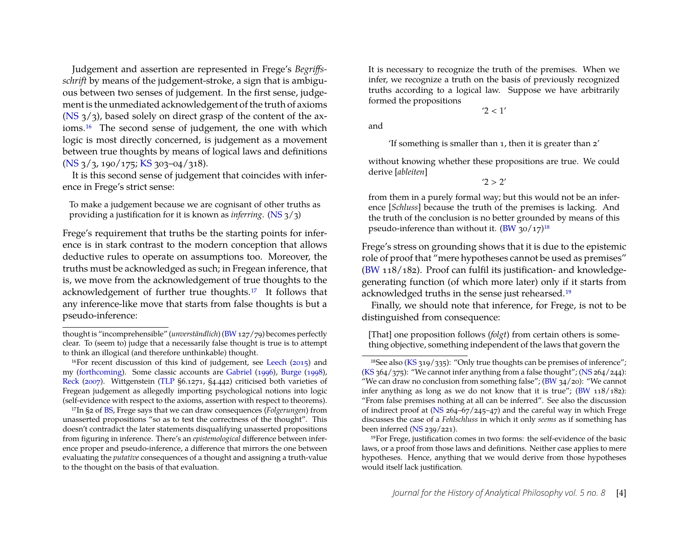Judgement and assertion are represented in Frege's *Begriffsschrift* by means of the judgement-stroke, a sign that is ambiguous between two senses of judgement. In the first sense, judgement is the unmediated acknowledgement of the truth of axioms  $(NS_3/3)$  $(NS_3/3)$ , based solely on direct grasp of the content of the axioms[.16](#page-4-0) The second sense of judgement, the one with which logic is most directly concerned, is judgement as a movement between true thoughts by means of logical laws and definitions [\(NS](#page-19-0) 3/3, 190/175; [KS](#page-19-6) 303–04/318).

It is this second sense of judgement that coincides with inference in Frege's strict sense:

To make a judgement because we are cognisant of other truths as providing a justification for it is known as *inferring*. [\(NS](#page-19-0) 3/3)

Frege's requirement that truths be the starting points for inference is in stark contrast to the modern conception that allows deductive rules to operate on assumptions too. Moreover, the truths must be acknowledged as such; in Fregean inference, that is, we move from the acknowledgement of true thoughts to the acknowledgement of further true thoughts[.17](#page-4-1) It follows that any inference-like move that starts from false thoughts is but a pseudo-inference:

<span id="page-4-1"></span>17In §2 of [BS,](#page-19-7) Frege says that we can draw consequences (*Folgerungen*) from unasserted propositions "so as to test the correctness of the thought". This doesn't contradict the later statements disqualifying unasserted propositions from figuring in inference. There's an *epistemological* difference between inference proper and pseudo-inference, a difference that mirrors the one between evaluating the *putative* consequences of a thought and assigning a truth-value to the thought on the basis of that evaluation.

It is necessary to recognize the truth of the premises. When we infer, we recognize a truth on the basis of previously recognized truths according to a logical law. Suppose we have arbitrarily formed the propositions

 $'2 < 1'$ 

and

'If something is smaller than 1, then it is greater than 2'

without knowing whether these propositions are true. We could derive [*ableiten*]

 $'2 > 2'$ 

from them in a purely formal way; but this would not be an inference [*Schluss*] because the truth of the premises is lacking. And the truth of the conclusion is no better grounded by means of this pseudo-inference than without it.  $(BW 30/17)^{18}$  $(BW 30/17)^{18}$ 

Frege's stress on grounding shows that it is due to the epistemic role of proof that "mere hypotheses cannot be used as premises" [\(BW](#page-19-2) 118/182). Proof can fulfil its justification- and knowledgegenerating function (of which more later) only if it starts from acknowledged truths in the sense just rehearsed[.19](#page-4-3)

Finally, we should note that inference, for Frege, is not to be distinguished from consequence:

[That] one proposition follows (*folgt*) from certain others is something objective, something independent of the laws that govern the

thought is "incomprehensible" (*unverständlich*) [\(BW](#page-19-2)127/79) becomes perfectly clear. To (seem to) judge that a necessarily false thought is true is to attempt to think an illogical (and therefore unthinkable) thought.

<span id="page-4-0"></span><sup>16</sup>For recent discussion of this kind of judgement, see [Leech](#page-21-7) [\(2015\)](#page-21-7) and my [\(forthcoming\)](#page-21-8). Some classic accounts are [Gabriel](#page-20-3) [\(1996\)](#page-20-3), [Burge](#page-19-8) [\(1998\)](#page-19-8), [Reck](#page-21-5) [\(2007\)](#page-21-5). Wittgenstein [\(TLP](#page-19-4) §6.1271, §4.442) criticised both varieties of Fregean judgement as allegedly importing psychological notions into logic (self-evidence with respect to the axioms, assertion with respect to theorems).

<span id="page-4-2"></span><sup>18</sup>See also [\(KS](#page-19-6) 319/335): "Only true thoughts can be premises of inference";  $(KS_364/375)$  $(KS_364/375)$ : "We cannot infer anything from a false thought";  $(NS_364/244)$  $(NS_364/244)$ : "We can draw no conclusion from something false";  $(BW 34/20)$  $(BW 34/20)$ : "We cannot infer anything as long as we do not know that it is true"; [\(BW](#page-19-2) 118/182): "From false premises nothing at all can be inferred". See also the discussion of indirect proof at [\(NS](#page-19-0) 264–67/245–47) and the careful way in which Frege discusses the case of a *Fehlschluss* in which it only *seems* as if something has been inferred [\(NS](#page-19-0) 239/221).

<span id="page-4-3"></span><sup>19</sup>For Frege, justification comes in two forms: the self-evidence of the basic laws, or a proof from those laws and definitions. Neither case applies to mere hypotheses. Hence, anything that we would derive from those hypotheses would itself lack justification.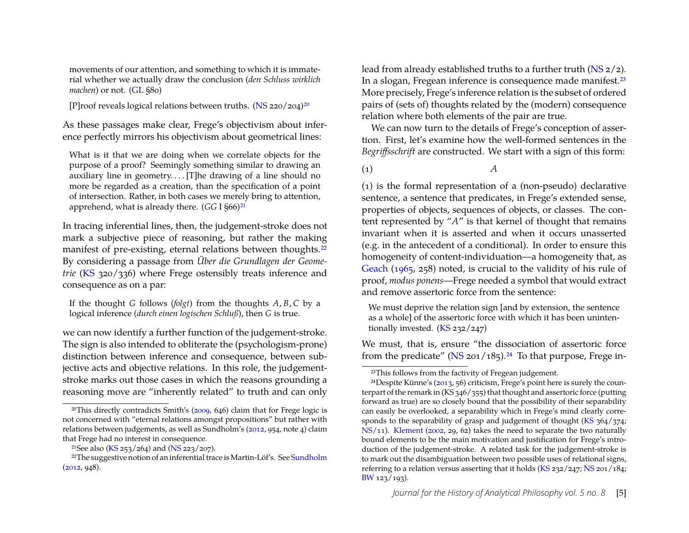movements of our attention, and something to which it is immaterial whether we actually draw the conclusion (*den Schluss wirklich machen*) or not. [\(GL](#page-19-9) §80)

[P]roof reveals logical relations between truths.  $(NS 220/204)^{20}$  $(NS 220/204)^{20}$ 

As these passages make clear, Frege's objectivism about inference perfectly mirrors his objectivism about geometrical lines:

What is it that we are doing when we correlate objects for the purpose of a proof? Seemingly something similar to drawing an auxiliary line in geometry.... [T]he drawing of a line should no more be regarded as a creation, than the specification of a point of intersection. Rather, in both cases we merely bring to attention, apprehend, what is already there. (*GG* I §66)<sup>21</sup>

In tracing inferential lines, then, the judgement-stroke does not mark a subjective piece of reasoning, but rather the making manifest of pre-existing, eternal relations between thoughts.<sup>22</sup> By considering a passage from *Über die Grundlagen der Geometrie* [\(KS](#page-19-6) 320/336) where Frege ostensibly treats inference and consequence as on a par:

If the thought *G* follows (*folgt*) from the thoughts *A*, *B*, *C* by a logical inference (*durch einen logischen Schluß*), then *G* is true.

we can now identify a further function of the judgement-stroke. The sign is also intended to obliterate the (psychologism-prone) distinction between inference and consequence, between subjective acts and objective relations. In this role, the judgementstroke marks out those cases in which the reasons grounding a reasoning move are "inherently related" to truth and can only lead from already established truths to a further truth [\(NS](#page-19-0) 2/2). In a slogan, Fregean inference is consequence made manifest.<sup>23</sup> More precisely, Frege's inference relation is the subset of ordered pairs of (sets of) thoughts related by the (modern) consequence relation where both elements of the pair are true.

We can now turn to the details of Frege's conception of assertion. First, let's examine how the well-formed sentences in the *Begriffsschrift* are constructed. We start with a sign of this form:

<span id="page-5-4"></span>(1) *A*

[\(1\)](#page-5-4) is the formal representation of a (non-pseudo) declarative sentence, a sentence that predicates, in Frege's extended sense, properties of objects, sequences of objects, or classes. The content represented by "*A*" is that kernel of thought that remains invariant when it is asserted and when it occurs unasserted (e.g. in the antecedent of a conditional). In order to ensure this homogeneity of content-individuation—a homogeneity that, as [Geach](#page-20-4) [\(1965,](#page-20-4) 258) noted, is crucial to the validity of his rule of proof, *modus ponens*—Frege needed a symbol that would extract and remove assertoric force from the sentence:

We must deprive the relation sign [and by extension, the sentence as a whole] of the assertoric force with which it has been unintentionally invested. [\(KS](#page-19-6) 232/247)

We must, that is, ensure "the dissociation of assertoric force from the predicate" ( $\overline{\text{NS}}$  201/185).<sup>24</sup> To that purpose, Frege in-

<span id="page-5-0"></span><sup>20</sup>This directly contradicts Smith's [\(2009,](#page-22-1) 646) claim that for Frege logic is not concerned with "eternal relations amongst propositions" but rather with relations between judgements, as well as Sundholm's [\(2012,](#page-22-8) 954, note 4) claim that Frege had no interest in consequence.

<span id="page-5-2"></span><span id="page-5-1"></span><sup>&</sup>lt;sup>21</sup>See also [\(KS](#page-19-6) 253/264) and [\(NS](#page-19-0) 223/207).

<sup>&</sup>lt;sup>22</sup>The suggestive notion of an inferential trace is Martin-Löf's. See [Sundholm](#page-22-8) [\(2012,](#page-22-8) 948).

<span id="page-5-5"></span><span id="page-5-3"></span><sup>23</sup>This follows from the factivity of Fregean judgement.

<sup>24</sup>Despite Künne's [\(2013,](#page-21-4) 56) criticism, Frege's point here is surely the counterpart of the remark in (KS 346/355) that thought and assertoric force (putting forward as true) are so closely bound that the possibility of their separability can easily be overlooked, a separability which in Frege's mind clearly corresponds to the separability of grasp and judgement of thought [\(KS](#page-19-6) 364/374; [NS/](#page-19-0)11). [Klement](#page-21-9) [\(2002,](#page-21-9) 29, 62) takes the need to separate the two naturally bound elements to be the main motivation and justification for Frege's introduction of the judgement-stroke. A related task for the judgement-stroke is to mark out the disambiguation between two possible uses of relational signs, referring to a relation versus asserting that it holds [\(KS](#page-19-6) 232/247; [NS](#page-19-0) 201/184; [BW](#page-19-2) 123/193).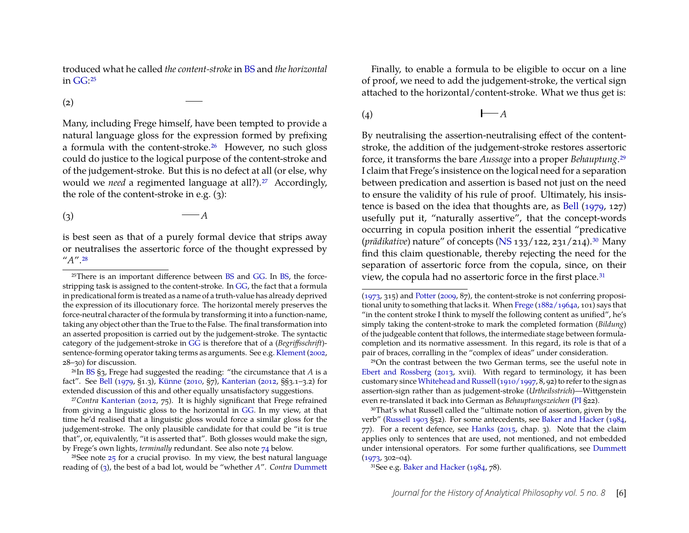troduced what he called *the content-stroke* in [BS](#page-19-7) and *the horizontal* in [GG:](#page-19-3)[25](#page-6-0)

(2)

Many, including Frege himself, have been tempted to provide a natural language gloss for the expression formed by prefixing a formula with the content-stroke[.26](#page-6-1) However, no such gloss could do justice to the logical purpose of the content-stroke and of the judgement-stroke. But this is no defect at all (or else, why would we *need* a regimented language at all?).<sup>27</sup> Accordingly, the role of the content-stroke in e.g. (3):

<span id="page-6-4"></span> $\left(3\right)$   $-A$ 

is best seen as that of a purely formal device that strips away or neutralises the assertoric force of the thought expressed by "*A*"[.28](#page-6-3)

<span id="page-6-3"></span> $28$ See note  $25$  for a crucial proviso. In my view, the best natural language reading of [\(3\)](#page-6-4), the best of a bad lot, would be "whether *A*". *Contra* [Dummett](#page-20-5)

Finally, to enable a formula to be eligible to occur on a line of proof, we need to add the judgement-stroke, the vertical sign attached to the horizontal/content-stroke. What we thus get is:

$$
(4) \qquad \qquad \mathsf{I} \longrightarrow A
$$

By neutralising the assertion-neutralising effect of the contentstroke, the addition of the judgement-stroke restores assertoric force, it transforms the bare *Aussage* into a proper *Behauptung*[.29](#page-6-5) I claim that Frege's insistence on the logical need for a separation between predication and assertion is based not just on the need to ensure the validity of his rule of proof. Ultimately, his insistence is based on the idea that thoughts are, as [Bell](#page-19-5) [\(1979,](#page-19-5) 127) usefully put it, "naturally assertive", that the concept-words occurring in copula position inherit the essential "predicative (*prädikative*) nature" of concepts [\(NS](#page-19-0) 133/122, 231/214)[.30](#page-6-6) Many find this claim questionable, thereby rejecting the need for the separation of assertoric force from the copula, since, on their view, the copula had no assertoric force in the first place.<sup>31</sup>

<span id="page-6-7"></span>31See e.g. [Baker and Hacker](#page-19-11) [\(1984,](#page-19-11) 78).

<span id="page-6-0"></span><sup>25</sup>There is an important difference between [BS](#page-19-7) and [GG.](#page-19-3) In [BS,](#page-19-7) the forcestripping task is assigned to the content-stroke. In [GG,](#page-19-3) the fact that a formula in predicational form is treated as a name of a truth-value has already deprived the expression of its illocutionary force. The horizontal merely preserves the force-neutral character of the formula by transforming it into a function-name, taking any object other than the True to the False. The final transformation into an asserted proposition is carried out by the judgement-stroke. The syntactic category of the judgement-stroke in [GG](#page-19-3) is therefore that of a (*Begriffsschrift*) sentence-forming operator taking terms as arguments. See e.g. [Klement](#page-21-9) [\(2002,](#page-21-9) 28–30) for discussion.

<span id="page-6-1"></span><sup>26</sup>In [BS](#page-19-7) §3, Frege had suggested the reading: "the circumstance that *A* is a fact". See [Bell](#page-19-5) [\(1979,](#page-19-5) §1.3), [Künne](#page-21-3) [\(2010,](#page-21-3) §7), [Kanterian](#page-21-10) [\(2012,](#page-21-10) §§3.1–3.2) for extended discussion of this and other equally unsatisfactory suggestions.

<span id="page-6-2"></span><sup>27</sup>*Contra* [Kanterian](#page-21-10) [\(2012,](#page-21-10) 75). It is highly significant that Frege refrained from giving a linguistic gloss to the horizontal in [GG.](#page-19-3) In my view, at that time he'd realised that a linguistic gloss would force a similar gloss for the judgement-stroke. The only plausible candidate for that could be "it is true that", or, equivalently, "it is asserted that". Both glosses would make the sign, by Frege's own lights, *terminally* redundant. See also note [74](#page-17-0) below.

[<sup>\(1973,</sup>](#page-20-5) 315) and [Potter](#page-21-11) [\(2009,](#page-21-11) 87), the content-stroke is not conferring propositional unity to something that lacks it. When [Frege](#page-20-6) [\(1882/1964a,](#page-20-6) 101) says that "in the content stroke I think to myself the following content as unified", he's simply taking the content-stroke to mark the completed formation (*Bildung*) of the judgeable content that follows, the intermediate stage between formulacompletion and its normative assessment. In this regard, its role is that of a pair of braces, corralling in the "complex of ideas" under consideration.

<span id="page-6-5"></span><sup>29</sup>On the contrast between the two German terms, see the useful note in [Ebert and Rossberg](#page-20-7) [\(2013,](#page-20-7) xvii). With regard to terminology, it has been customary since[Whitehead and Russell\(1910/1997,](#page-22-9) 8, 92) to refer to the sign as assertion-sign rather than as judgement-stroke (*Urtheilsstrich*)—Wittgenstein even re-translated it back into German as *Behauptungszeichen* [\(PI](#page-19-10) §22).

<span id="page-6-6"></span><sup>30</sup>That's what Russell called the "ultimate notion of assertion, given by the verb" [\(Russell](#page-22-10) [1903](#page-22-10) §52). For some antecedents, see [Baker and Hacker](#page-19-11) [\(1984,](#page-19-11) 77). For a recent defence, see [Hanks](#page-20-8) [\(2015,](#page-20-8) chap. 3). Note that the claim applies only to sentences that are used, not mentioned, and not embedded under intensional operators. For some further qualifications, see [Dummett](#page-20-5) [\(1973,](#page-20-5) 302–04).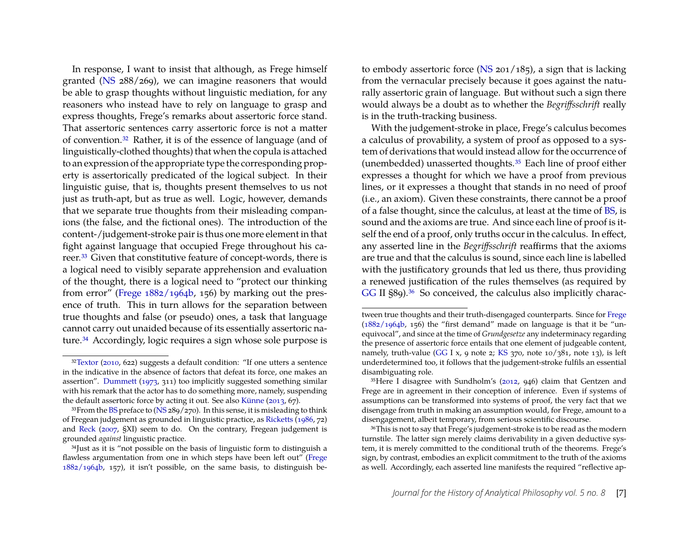In response, I want to insist that although, as Frege himself granted [\(NS](#page-19-0) 288/269), we can imagine reasoners that would be able to grasp thoughts without linguistic mediation, for any reasoners who instead have to rely on language to grasp and express thoughts, Frege's remarks about assertoric force stand. That assertoric sentences carry assertoric force is not a matter of convention[.32](#page-7-0) Rather, it is of the essence of language (and of linguistically-clothed thoughts) that when the copula is attached to an expression of the appropriate type the corresponding property is assertorically predicated of the logical subject. In their linguistic guise, that is, thoughts present themselves to us not just as truth-apt, but as true as well. Logic, however, demands that we separate true thoughts from their misleading companions (the false, and the fictional ones). The introduction of the content-/judgement-stroke pair is thus one more element in that fight against language that occupied Frege throughout his career[.33](#page-7-1) Given that constitutive feature of concept-words, there is a logical need to visibly separate apprehension and evaluation of the thought, there is a logical need to "protect our thinking from error" [\(Frege](#page-20-9) [1882/1964b,](#page-20-9) 156) by marking out the presence of truth. This in turn allows for the separation between true thoughts and false (or pseudo) ones, a task that language cannot carry out unaided because of its essentially assertoric nature[.34](#page-7-2) Accordingly, logic requires a sign whose sole purpose is

to embody assertoric force [\(NS](#page-19-0) 201/185), a sign that is lacking from the vernacular precisely because it goes against the naturally assertoric grain of language. But without such a sign there would always be a doubt as to whether the *Begriffsschrift* really is in the truth-tracking business.

With the judgement-stroke in place, Frege's calculus becomes a calculus of provability, a system of proof as opposed to a system of derivations that would instead allow for the occurrence of (unembedded) unasserted thoughts[.35](#page-7-3) Each line of proof either expresses a thought for which we have a proof from previous lines, or it expresses a thought that stands in no need of proof (i.e., an axiom). Given these constraints, there cannot be a proof of a false thought, since the calculus, at least at the time of [BS,](#page-19-7) is sound and the axioms are true. And since each line of proof is itself the end of a proof, only truths occur in the calculus. In effect, any asserted line in the *Begriffsschrift* reaffirms that the axioms are true and that the calculus is sound, since each line is labelled with the justificatory grounds that led us there, thus providing a renewed justification of the rules themselves (as required by [GG](#page-19-3) II §89).<sup>36</sup> So conceived, the calculus also implicitly charac-

<span id="page-7-0"></span><sup>&</sup>lt;sup>32</sup>Textor [\(2010,](#page-22-2) 622) suggests a default condition: "If one utters a sentence in the indicative in the absence of factors that defeat its force, one makes an assertion". [Dummett](#page-20-5) [\(1973,](#page-20-5) 311) too implicitly suggested something similar with his remark that the actor has to do something more, namely, suspending the default assertoric force by acting it out. See also [Künne](#page-21-4) [\(2013,](#page-21-4) 67).

<span id="page-7-1"></span><sup>&</sup>lt;sup>33</sup>From the [BS](#page-19-7) preface to [\(NS](#page-19-0) 289/270). In this sense, it is misleading to think of Fregean judgement as grounded in linguistic practice, as [Ricketts](#page-21-12) [\(1986,](#page-21-12) 72) and [Reck](#page-21-5) [\(2007,](#page-21-5) §XI) seem to do. On the contrary, Fregean judgement is grounded *against* linguistic practice.

<span id="page-7-2"></span><sup>34</sup>Just as it is "not possible on the basis of linguistic form to distinguish a flawless argumentation from one in which steps have been left out" [\(Frege](#page-20-9) [1882/1964b,](#page-20-9) 157), it isn't possible, on the same basis, to distinguish be-

tween true thoughts and their truth-disengaged counterparts. Since for [Frege](#page-20-9)  $(1882/1964b, 156)$  $(1882/1964b, 156)$  the "first demand" made on language is that it be "unequivocal", and since at the time of *Grundgesetze* any indeterminacy regarding the presence of assertoric force entails that one element of judgeable content, namely, truth-value [\(GG](#page-19-3) I x, 9 note 2; [KS](#page-19-6) 370, note 10/381, note 13), is left underdetermined too, it follows that the judgement-stroke fulfils an essential disambiguating role.

<span id="page-7-3"></span><sup>35</sup>Here I disagree with Sundholm's [\(2012,](#page-22-8) 946) claim that Gentzen and Frege are in agreement in their conception of inference. Even if systems of assumptions can be transformed into systems of proof, the very fact that we disengage from truth in making an assumption would, for Frege, amount to a disengagement, albeit temporary, from serious scientific discourse.

<span id="page-7-4"></span><sup>36</sup>This is not to say that Frege's judgement-stroke is to be read as the modern turnstile. The latter sign merely claims derivability in a given deductive system, it is merely committed to the conditional truth of the theorems. Frege's sign, by contrast, embodies an explicit commitment to the truth of the axioms as well. Accordingly, each asserted line manifests the required "reflective ap-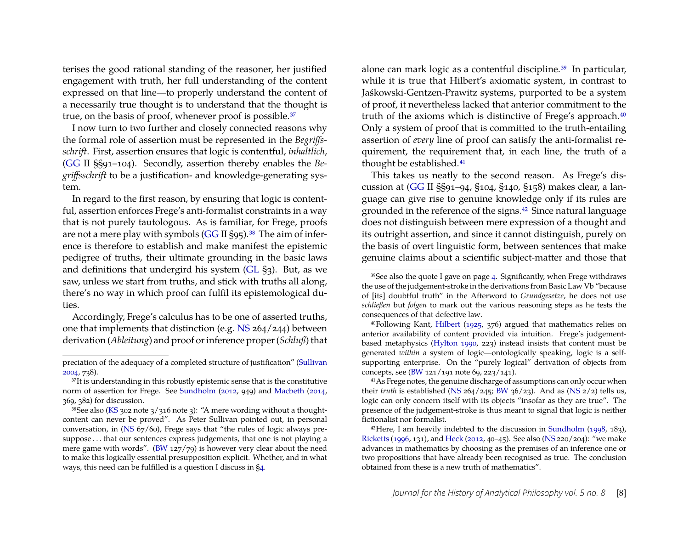terises the good rational standing of the reasoner, her justified engagement with truth, her full understanding of the content expressed on that line—to properly understand the content of a necessarily true thought is to understand that the thought is true, on the basis of proof, whenever proof is possible.<sup>37</sup>

I now turn to two further and closely connected reasons why the formal role of assertion must be represented in the *Begriffsschrift*. First, assertion ensures that logic is contentful, *inhaltlich*, [\(GG](#page-19-3) II §§91–104). Secondly, assertion thereby enables the *Begriffsschrift* to be a justification- and knowledge-generating system.

In regard to the first reason, by ensuring that logic is contentful, assertion enforces Frege's anti-formalist constraints in a way that is not purely tautologous. As is familiar, for Frege, proofs are not a mere play with symbols  $(GG II S95)$  $(GG II S95)$ .<sup>38</sup> The aim of inference is therefore to establish and make manifest the epistemic pedigree of truths, their ultimate grounding in the basic laws and definitions that undergird his system [\(GL](#page-19-9) §3). But, as we saw, unless we start from truths, and stick with truths all along, there's no way in which proof can fulfil its epistemological duties.

Accordingly, Frege's calculus has to be one of asserted truths, one that implements that distinction (e.g. [NS](#page-19-0) 264/244) between derivation (*Ableitung*) and proof or inference proper (*Schluß*) that alone can mark logic as a contentful discipline[.39](#page-8-2) In particular, while it is true that Hilbert's axiomatic system, in contrast to Jaśkowski-Gentzen-Prawitz systems, purported to be a system of proof, it nevertheless lacked that anterior commitment to the truth of the axioms which is distinctive of Frege's approach.<sup>40</sup> Only a system of proof that is committed to the truth-entailing assertion of *every* line of proof can satisfy the anti-formalist requirement, the requirement that, in each line, the truth of a thought be established[.41](#page-8-4)

This takes us neatly to the second reason. As Frege's discussion at [\(GG](#page-19-3) II §§91–94, §104, §140, §158) makes clear, a language can give rise to genuine knowledge only if its rules are grounded in the reference of the signs[.42](#page-8-5) Since natural language does not distinguish between mere expression of a thought and its outright assertion, and since it cannot distinguish, purely on the basis of overt linguistic form, between sentences that make genuine claims about a scientific subject-matter and those that

preciation of the adequacy of a completed structure of justification" [\(Sullivan](#page-22-11) [2004,](#page-22-11) 738).

<span id="page-8-0"></span><sup>&</sup>lt;sup>37</sup>It is understanding in this robustly epistemic sense that is the constitutive norm of assertion for Frege. See [Sundholm](#page-22-8) [\(2012,](#page-22-8) 949) and [Macbeth](#page-21-6) [\(2014,](#page-21-6) 369, 382) for discussion.

<span id="page-8-1"></span><sup>&</sup>lt;sup>38</sup>See also [\(KS](#page-19-6) 302 note 3/316 note 3): "A mere wording without a thoughtcontent can never be proved". As Peter Sullivan pointed out, in personal conversation, in [\(NS](#page-19-0) 67/60), Frege says that "the rules of logic always presuppose . . . that our sentences express judgements, that one is not playing a mere game with words". [\(BW](#page-19-2) 127/79) is however very clear about the need to make this logically essential presupposition explicit. Whether, and in what ways, this need can be fulfilled is a question I discuss in [§4.](#page-12-0)

<span id="page-8-2"></span><sup>39</sup>See also the quote I gave on page [4.](#page-2-2) Significantly, when Frege withdraws the use of the judgement-stroke in the derivations from Basic Law Vb "because of [its] doubtful truth" in the Afterword to *Grundgesetze*, he does not use *schließen* but *folgen* to mark out the various reasoning steps as he tests the consequences of that defective law.

<span id="page-8-3"></span><sup>40</sup>Following Kant, [Hilbert](#page-20-10) [\(1925,](#page-20-10) 376) argued that mathematics relies on anterior availability of content provided via intuition. Frege's judgementbased metaphysics [\(Hylton](#page-20-11) [1990,](#page-20-11) 223) instead insists that content must be generated *within* a system of logic—ontologically speaking, logic is a selfsupporting enterprise. On the "purely logical" derivation of objects from concepts, see [\(BW](#page-19-2) 121/191 note 69, 223/141).

<span id="page-8-4"></span><sup>&</sup>lt;sup>41</sup>As Frege notes, the genuine discharge of assumptions can only occur when their *truth* is established [\(NS](#page-19-0) 264/245; [BW](#page-19-2) 36/23). And as (NS 2/2) tells us, logic can only concern itself with its objects "insofar as they are true". The presence of the judgement-stroke is thus meant to signal that logic is neither fictionalist nor formalist.

<span id="page-8-5"></span> $42$ Here, I am heavily indebted to the discussion in [Sundholm](#page-22-12) [\(1998,](#page-22-12) 183), [Ricketts](#page-22-7) [\(1996,](#page-22-7) 131), and [Heck](#page-20-12) [\(2012,](#page-20-12) 40–45). See also [\(NS](#page-19-0) 220/204): "we make advances in mathematics by choosing as the premises of an inference one or two propositions that have already been recognised as true. The conclusion obtained from these is a new truth of mathematics".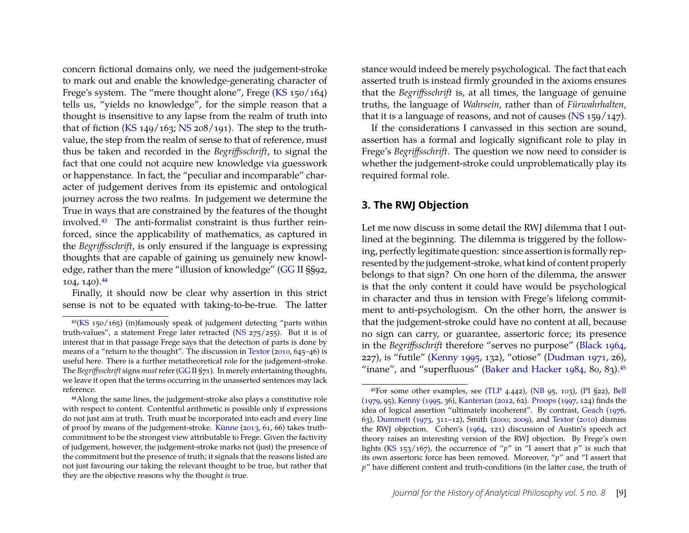concern fictional domains only, we need the judgement-stroke to mark out and enable the knowledge-generating character of Frege's system. The "mere thought alone", Frege [\(KS](#page-19-6) 150/164) tells us, "yields no knowledge", for the simple reason that a thought is insensitive to any lapse from the realm of truth into that of fiction [\(KS](#page-19-6) 149/163; [NS](#page-19-0) 208/191). The step to the truthvalue, the step from the realm of sense to that of reference, must thus be taken and recorded in the *Begriffsschrift*, to signal the fact that one could not acquire new knowledge via guesswork or happenstance. In fact, the "peculiar and incomparable" character of judgement derives from its epistemic and ontological journey across the two realms. In judgement we determine the True in ways that are constrained by the features of the thought involved[.43](#page-9-1) The anti-formalist constraint is thus further reinforced, since the applicability of mathematics, as captured in the *Begriffsschrift*, is only ensured if the language is expressing thoughts that are capable of gaining us genuinely new knowledge, rather than the mere "illusion of knowledge" [\(GG](#page-19-3) II §§92, 104, 140)[.44](#page-9-2)

Finally, it should now be clear why assertion in this strict sense is not to be equated with taking-to-be-true. The latter stance would indeed be merely psychological. The fact that each asserted truth is instead firmly grounded in the axioms ensures that the *Begriffsschrift* is, at all times, the language of genuine truths, the language of *Wahrsein*, rather than of *Fürwahrhalten*, that it is a language of reasons, and not of causes ( $\overline{NS}$  159/147).

If the considerations I canvassed in this section are sound, assertion has a formal and logically significant role to play in Frege's *Begriffsschrift*. The question we now need to consider is whether the judgement-stroke could unproblematically play its required formal role.

### <span id="page-9-0"></span>**3. The RWJ Objection**

Let me now discuss in some detail the RWJ dilemma that I outlined at the beginning. The dilemma is triggered by the following, perfectly legitimate question: since assertion is formally represented by the judgement-stroke, what kind of content properly belongs to that sign? On one horn of the dilemma, the answer is that the only content it could have would be psychological in character and thus in tension with Frege's lifelong commitment to anti-psychologism. On the other horn, the answer is that the judgement-stroke could have no content at all, because no sign can carry, or guarantee, assertoric force; its presence in the *Begriffsschrift* therefore "serves no purpose" [\(Black](#page-19-12) [1964,](#page-19-12) 227), is "futile" [\(Kenny](#page-21-13) [1995,](#page-21-13) 132), "otiose" [\(Dudman](#page-20-13) [1971,](#page-20-13) 26), "inane", and "superfluous" [\(Baker and Hacker](#page-19-11) [1984,](#page-19-11) 80, 83).<sup>45</sup>

<span id="page-9-1"></span><sup>43</sup>[\(KS](#page-19-6) 150/165) (in)famously speak of judgement detecting "parts within truth-values", a statement Frege later retracted [\(NS](#page-19-0)  $275/255$ ). But it is of interest that in that passage Frege says that the detection of parts is done by means of a "return to the thought". The discussion in [Textor](#page-22-2) [\(2010,](#page-22-2) 645–46) is useful here. There is a further metatheoretical role for the judgement-stroke. The *Begriffsschrift* signs *must*refer [\(GG](#page-19-3) II §71). In merely entertaining thoughts, we leave it open that the terms occurring in the unasserted sentences may lack reference.

<span id="page-9-2"></span><sup>44</sup>Along the same lines, the judgement-stroke also plays a constitutive role with respect to content. Contentful arithmetic is possible only if expressions do not just aim at truth. Truth must be incorporated into each and every line of proof by means of the judgement-stroke. [Künne](#page-21-4) [\(2013,](#page-21-4) 61, 66) takes truthcommitment to be the strongest view attributable to Frege. Given the factivity of judgement, however, the judgement-stroke marks not (just) the presence of the commitment but the presence of truth; it signals that the reasons listed are not just favouring our taking the relevant thought to be true, but rather that they are the objective reasons why the thought *is* true.

<span id="page-9-3"></span><sup>45</sup>For some other examples, see [\(TLP](#page-19-4) 4.442), [\(NB](#page-19-1) 95, 103), [\(PI](#page-19-10) §22), [Bell](#page-19-5) [\(1979,](#page-19-5) 95), [Kenny](#page-21-13) [\(1995,](#page-21-13) 36), [Kanterian](#page-21-10) [\(2012,](#page-21-10) 62). [Proops](#page-21-14) [\(1997,](#page-21-14) 124) finds the idea of logical assertion "ultimately incoherent". By contrast, [Geach](#page-20-14) [\(1976,](#page-20-14) 63), [Dummett](#page-20-5) [\(1973,](#page-20-5) 311–12), Smith [\(2000;](#page-22-0) [2009\)](#page-22-1), and [Textor](#page-22-2) [\(2010\)](#page-22-2) dismiss the RWJ objection. Cohen's [\(1964,](#page-20-15) 121) discussion of Austin's speech act theory raises an interesting version of the RWJ objection. By Frege's own lights [\(KS](#page-19-6) 153/167), the occurrence of "*p*" in "I assert that *p*" is such that its own assertoric force has been removed. Moreover, "*p*" and "I assert that *p*" have different content and truth-conditions (in the latter case, the truth of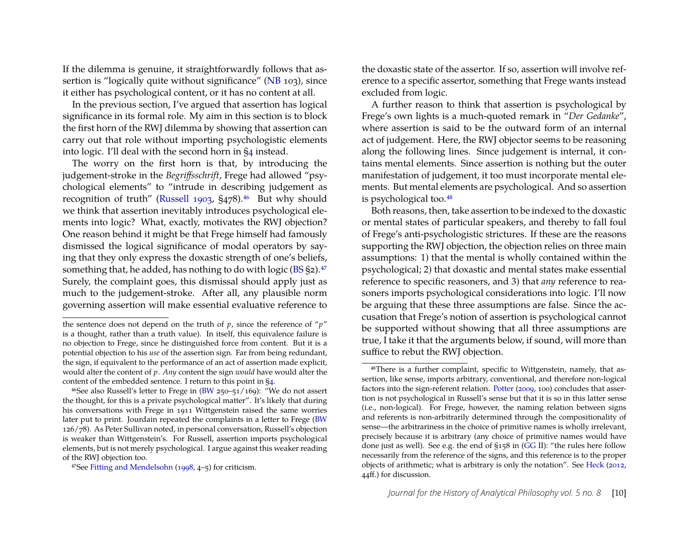If the dilemma is genuine, it straightforwardly follows that as-sertion is "logically quite without significance" [\(NB](#page-19-1) 103), since it either has psychological content, or it has no content at all.

In the previous section, I've argued that assertion has logical significance in its formal role. My aim in this section is to block the first horn of the RWJ dilemma by showing that assertion can carry out that role without importing psychologistic elements into logic. I'll deal with the second horn in [§4](#page-12-0) instead.

The worry on the first horn is that, by introducing the judgement-stroke in the *Begriffsschrift*, Frege had allowed "psychological elements" to "intrude in describing judgement as recognition of truth" [\(Russell](#page-22-10) [1903,](#page-22-10)  $\S$ 478).<sup>46</sup> But why should we think that assertion inevitably introduces psychological elements into logic? What, exactly, motivates the RWJ objection? One reason behind it might be that Frege himself had famously dismissed the logical significance of modal operators by saying that they only express the doxastic strength of one's beliefs, something that, he added, has nothing to do with logic [\(BS](#page-19-7) §2).<sup>47</sup> Surely, the complaint goes, this dismissal should apply just as much to the judgement-stroke. After all, any plausible norm governing assertion will make essential evaluative reference to the doxastic state of the assertor. If so, assertion will involve reference to a specific assertor, something that Frege wants instead excluded from logic.

A further reason to think that assertion is psychological by Frege's own lights is a much-quoted remark in "*Der Gedanke*", where assertion is said to be the outward form of an internal act of judgement. Here, the RWJ objector seems to be reasoning along the following lines. Since judgement is internal, it contains mental elements. Since assertion is nothing but the outer manifestation of judgement, it too must incorporate mental elements. But mental elements are psychological. And so assertion is psychological too[.48](#page-10-2)

Both reasons, then, take assertion to be indexed to the doxastic or mental states of particular speakers, and thereby to fall foul of Frege's anti-psychologistic strictures. If these are the reasons supporting the RWJ objection, the objection relies on three main assumptions: 1) that the mental is wholly contained within the psychological; 2) that doxastic and mental states make essential reference to specific reasoners, and 3) that *any* reference to reasoners imports psychological considerations into logic. I'll now be arguing that these three assumptions are false. Since the accusation that Frege's notion of assertion is psychological cannot be supported without showing that all three assumptions are true, I take it that the arguments below, if sound, will more than suffice to rebut the RWJ objection.

the sentence does not depend on the truth of  $p$ , since the reference of " $p$ " is a thought, rather than a truth value). In itself, this equivalence failure is no objection to Frege, since he distinguished force from content. But it is a potential objection to his *use* of the assertion sign. Far from being redundant, the sign, if equivalent to the performance of an act of assertion made explicit, would alter the content of *p*. *Any* content the sign *would* have would alter the content of the embedded sentence. I return to this point in [§4.](#page-12-0)

<span id="page-10-0"></span><sup>46</sup>See also Russell's letter to Frege in [\(BW](#page-19-2) 250–51/169): "We do not assert the thought, for this is a private psychological matter". It's likely that during his conversations with Frege in 1911 Wittgenstein raised the same worries later put to print. Jourdain repeated the complaints in a letter to Frege [\(BW](#page-19-2) 126/78). As Peter Sullivan noted, in personal conversation, Russell's objection is weaker than Wittgenstein's. For Russell, assertion imports psychological elements, but is not merely psychological. I argue against this weaker reading of the RWJ objection too.

<span id="page-10-1"></span><sup>47</sup>See [Fitting and Mendelsohn](#page-20-16) [\(1998,](#page-20-16) 4–5) for criticism.

<span id="page-10-2"></span><sup>48</sup>There is a further complaint, specific to Wittgenstein, namely, that assertion, like sense, imports arbitrary, conventional, and therefore non-logical factors into the sign-referent relation. [Potter](#page-21-11) [\(2009,](#page-21-11) 100) concludes that assertion is not psychological in Russell's sense but that it is so in this latter sense (i.e., non-logical). For Frege, however, the naming relation between signs and referents is non-arbitrarily determined through the compositionality of sense—the arbitrariness in the choice of primitive names is wholly irrelevant, precisely because it is arbitrary (any choice of primitive names would have done just as well). See e.g. the end of §158 in [\(GG](#page-19-3) II): "the rules here follow necessarily from the reference of the signs, and this reference is to the proper objects of arithmetic; what is arbitrary is only the notation". See [Heck](#page-20-12) [\(2012,](#page-20-12) 44ff.) for discussion.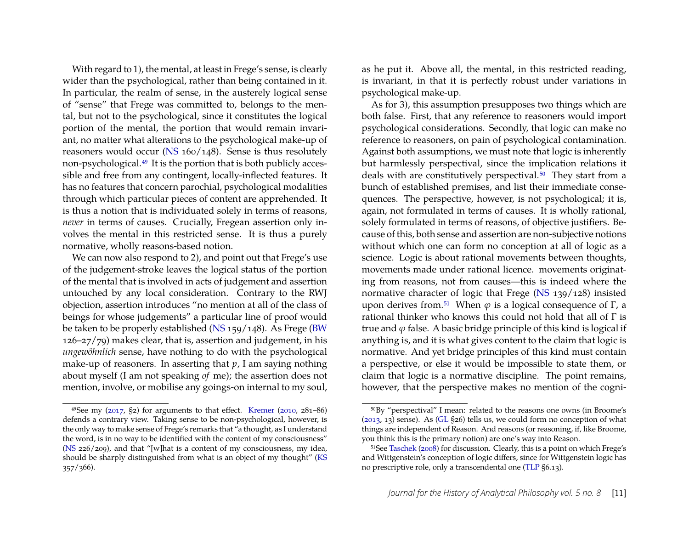With regard to 1), the mental, at least in Frege's sense, is clearly wider than the psychological, rather than being contained in it. In particular, the realm of sense, in the austerely logical sense of "sense" that Frege was committed to, belongs to the mental, but not to the psychological, since it constitutes the logical portion of the mental, the portion that would remain invariant, no matter what alterations to the psychological make-up of reasoners would occur [\(NS](#page-19-0) 160/148). Sense is thus resolutely non-psychological[.49](#page-11-0) It is the portion that is both publicly accessible and free from any contingent, locally-inflected features. It has no features that concern parochial, psychological modalities through which particular pieces of content are apprehended. It is thus a notion that is individuated solely in terms of reasons, *never* in terms of causes. Crucially, Fregean assertion only involves the mental in this restricted sense. It is thus a purely normative, wholly reasons-based notion.

We can now also respond to 2), and point out that Frege's use of the judgement-stroke leaves the logical status of the portion of the mental that is involved in acts of judgement and assertion untouched by any local consideration. Contrary to the RWJ objection, assertion introduces "no mention at all of the class of beings for whose judgements" a particular line of proof would be taken to be properly established [\(NS](#page-19-0) 159/148). As Frege [\(BW](#page-19-2) 126–27/79) makes clear, that is, assertion and judgement, in his *ungewöhnlich* sense, have nothing to do with the psychological make-up of reasoners. In asserting that *p*, I am saying nothing about myself (I am not speaking *of* me); the assertion does not mention, involve, or mobilise any goings-on internal to my soul, as he put it. Above all, the mental, in this restricted reading, is invariant, in that it is perfectly robust under variations in psychological make-up.

As for 3), this assumption presupposes two things which are both false. First, that any reference to reasoners would import psychological considerations. Secondly, that logic can make no reference to reasoners, on pain of psychological contamination. Against both assumptions, we must note that logic is inherently but harmlessly perspectival, since the implication relations it deals with are constitutively perspectival.<sup>50</sup> They start from a bunch of established premises, and list their immediate consequences. The perspective, however, is not psychological; it is, again, not formulated in terms of causes. It is wholly rational, solely formulated in terms of reasons, of objective justifiers. Because of this, both sense and assertion are non-subjective notions without which one can form no conception at all of logic as a science. Logic is about rational movements between thoughts, movements made under rational licence. movements originating from reasons, not from causes—this is indeed where the normative character of logic that Frege [\(NS](#page-19-0) 139/128) insisted upon derives from.<sup>51</sup> When  $\varphi$  is a logical consequence of Γ, a rational thinker who knows this could not hold that all of Γ is true and  $\varphi$  false. A basic bridge principle of this kind is logical if anything is, and it is what gives content to the claim that logic is normative. And yet bridge principles of this kind must contain a perspective, or else it would be impossible to state them, or claim that logic is a normative discipline. The point remains, however, that the perspective makes no mention of the cogni-

<span id="page-11-0"></span> $49$ See my [\(2017,](#page-21-15) §2) for arguments to that effect. [Kremer](#page-21-16) [\(2010,](#page-21-16) 281–86) defends a contrary view. Taking sense to be non-psychological, however, is the only way to make sense of Frege's remarks that "a thought, as I understand the word, is in no way to be identified with the content of my consciousness" [\(NS](#page-19-0) 226/209), and that "[w]hat is a content of my consciousness, my idea, should be sharply distinguished from what is an object of my thought" [\(KS](#page-19-6) 357/366).

<span id="page-11-1"></span><sup>50</sup>By "perspectival" I mean: related to the reasons one owns (in Broome's [\(2013,](#page-19-13) 13) sense). As [\(GL](#page-19-9) §26) tells us, we could form no conception of what things are independent of Reason. And reasons (or reasoning, if, like Broome, you think this is the primary notion) are one's way into Reason.

<span id="page-11-2"></span><sup>51</sup>See [Taschek](#page-22-3) [\(2008\)](#page-22-3) for discussion. Clearly, this is a point on which Frege's and Wittgenstein's conception of logic differs, since for Wittgenstein logic has no prescriptive role, only a transcendental one [\(TLP](#page-19-4) §6.13).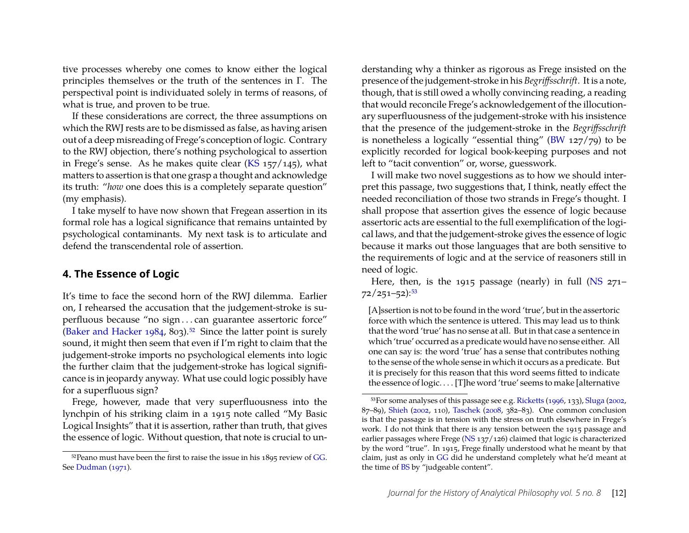tive processes whereby one comes to know either the logical principles themselves or the truth of the sentences in Γ. The perspectival point is individuated solely in terms of reasons, of what is true, and proven to be true.

If these considerations are correct, the three assumptions on which the RWJ rests are to be dismissed as false, as having arisen out of a deep misreading of Frege's conception of logic. Contrary to the RWJ objection, there's nothing psychological to assertion in Frege's sense. As he makes quite clear [\(KS](#page-19-6) 157/145), what matters to assertion is that one grasp a thought and acknowledge its truth: "*how* one does this is a completely separate question" (my emphasis).

I take myself to have now shown that Fregean assertion in its formal role has a logical significance that remains untainted by psychological contaminants. My next task is to articulate and defend the transcendental role of assertion.

#### <span id="page-12-0"></span>**4. The Essence of Logic**

It's time to face the second horn of the RWJ dilemma. Earlier on, I rehearsed the accusation that the judgement-stroke is superfluous because "no sign . . . can guarantee assertoric force" [\(Baker and Hacker](#page-19-11) [1984,](#page-19-11) 803).<sup>52</sup> Since the latter point is surely sound, it might then seem that even if I'm right to claim that the judgement-stroke imports no psychological elements into logic the further claim that the judgement-stroke has logical significance is in jeopardy anyway. What use could logic possibly have for a superfluous sign?

Frege, however, made that very superfluousness into the lynchpin of his striking claim in a 1915 note called "My Basic Logical Insights" that it is assertion, rather than truth, that gives the essence of logic. Without question, that note is crucial to understanding why a thinker as rigorous as Frege insisted on the presence of the judgement-stroke in his *Begriffsschrift*. It is a note, though, that is still owed a wholly convincing reading, a reading that would reconcile Frege's acknowledgement of the illocutionary superfluousness of the judgement-stroke with his insistence that the presence of the judgement-stroke in the *Begriffsschrift* is nonetheless a logically "essential thing" [\(BW](#page-19-2) 127/79) to be explicitly recorded for logical book-keeping purposes and not left to "tacit convention" or, worse, guesswork.

I will make two novel suggestions as to how we should interpret this passage, two suggestions that, I think, neatly effect the needed reconciliation of those two strands in Frege's thought. I shall propose that assertion gives the essence of logic because assertoric acts are essential to the full exemplification of the logical laws, and that the judgement-stroke gives the essence of logic because it marks out those languages that are both sensitive to the requirements of logic and at the service of reasoners still in need of logic.

Here, then, is the 1915 passage (nearly) in full  $(NS 271 (NS 271 72/251 - 52$ : 53

[A]ssertion is not to be found in the word 'true', but in the assertoric force with which the sentence is uttered. This may lead us to think that the word 'true' has no sense at all. But in that case a sentence in which 'true' occurred as a predicate would have no sense either. All one can say is: the word 'true' has a sense that contributes nothing to the sense of the whole sense in which it occurs as a predicate. But it is precisely for this reason that this word seems fitted to indicate the essence of logic. . . . [T]he word 'true' seems to make [alternative

<span id="page-12-1"></span> $52$ Peano must have been the first to raise the issue in his  $1895$  review of [GG.](#page-19-3) See [Dudman](#page-20-13) [\(1971\)](#page-20-13).

<span id="page-12-2"></span><sup>53</sup>For some analyses of this passage see e.g. [Ricketts](#page-22-7) [\(1996,](#page-22-7) 133), [Sluga](#page-22-13) [\(2002,](#page-22-13) 87–89), [Shieh](#page-22-14) [\(2002,](#page-22-14) 110), [Taschek](#page-22-3) [\(2008,](#page-22-3) 382–83). One common conclusion is that the passage is in tension with the stress on truth elsewhere in Frege's work. I do not think that there is any tension between the 1915 passage and earlier passages where Frege ( $\overline{NS}$  137/126) claimed that logic is characterized by the word "true". In 1915, Frege finally understood what he meant by that claim, just as only in [GG](#page-19-3) did he understand completely what he'd meant at the time of [BS](#page-19-7) by "judgeable content".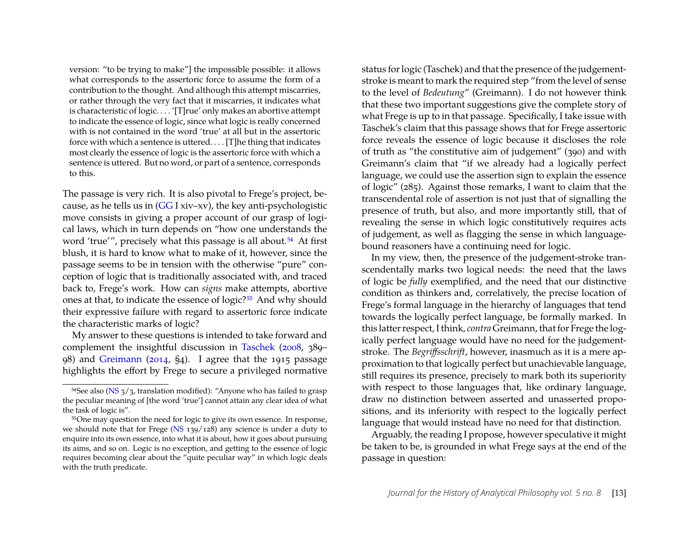version: "to be trying to make"] the impossible possible: it allows what corresponds to the assertoric force to assume the form of a contribution to the thought. And although this attempt miscarries, or rather through the very fact that it miscarries, it indicates what is characteristic of logic. . . . '[T]rue' only makes an abortive attempt to indicate the essence of logic, since what logic is really concerned with is not contained in the word 'true' at all but in the assertoric force with which a sentence is uttered. . . . [T]he thing that indicates most clearly the essence of logic is the assertoric force with which a sentence is uttered. But no word, or part of a sentence, corresponds to this.

The passage is very rich. It is also pivotal to Frege's project, because, as he tells us in [\(GG](#page-19-3) I xiv–xv), the key anti-psychologistic move consists in giving a proper account of our grasp of logical laws, which in turn depends on "how one understands the word 'true'", precisely what this passage is all about.<sup>54</sup> At first blush, it is hard to know what to make of it, however, since the passage seems to be in tension with the otherwise "pure" conception of logic that is traditionally associated with, and traced back to, Frege's work. How can *signs* make attempts, abortive ones at that, to indicate the essence of logic?<sup>55</sup> And why should their expressive failure with regard to assertoric force indicate the characteristic marks of logic?

My answer to these questions is intended to take forward and complement the insightful discussion in [Taschek](#page-22-3) [\(2008,](#page-22-3) 389– 98) and [Greimann](#page-20-1) [\(2014,](#page-20-1) §4). I agree that the 1915 passage highlights the effort by Frege to secure a privileged normative

status for logic (Taschek) and that the presence of the judgementstroke is meant to mark the required step "from the level of sense to the level of *Bedeutung*" (Greimann). I do not however think that these two important suggestions give the complete story of what Frege is up to in that passage. Specifically, I take issue with Taschek's claim that this passage shows that for Frege assertoric force reveals the essence of logic because it discloses the role of truth as "the constitutive aim of judgement" (390) and with Greimann's claim that "if we already had a logically perfect language, we could use the assertion sign to explain the essence of logic" (285). Against those remarks, I want to claim that the transcendental role of assertion is not just that of signalling the presence of truth, but also, and more importantly still, that of revealing the sense in which logic constitutively requires acts of judgement, as well as flagging the sense in which languagebound reasoners have a continuing need for logic.

In my view, then, the presence of the judgement-stroke transcendentally marks two logical needs: the need that the laws of logic be *fully* exemplified, and the need that our distinctive condition as thinkers and, correlatively, the precise location of Frege's formal language in the hierarchy of languages that tend towards the logically perfect language, be formally marked. In this latter respect, I think, *contra* Greimann, that for Frege the logically perfect language would have no need for the judgementstroke. The *Begriffsschrift*, however, inasmuch as it is a mere approximation to that logically perfect but unachievable language, still requires its presence, precisely to mark both its superiority with respect to those languages that, like ordinary language, draw no distinction between asserted and unasserted propositions, and its inferiority with respect to the logically perfect language that would instead have no need for that distinction.

Arguably, the reading I propose, however speculative it might be taken to be, is grounded in what Frege says at the end of the passage in question:

<span id="page-13-0"></span> $54$ See also [\(NS](#page-19-0)  $3/3$ , translation modified): "Anyone who has failed to grasp the peculiar meaning of [the word 'true'] cannot attain any clear idea of what the task of logic is".

<span id="page-13-1"></span><sup>55</sup>One may question the need for logic to give its own essence. In response, we should note that for Frege [\(NS](#page-19-0) 139/128) any science is under a duty to enquire into its own essence, into what it is about, how it goes about pursuing its aims, and so on. Logic is no exception, and getting to the essence of logic requires becoming clear about the "quite peculiar way" in which logic deals with the truth predicate.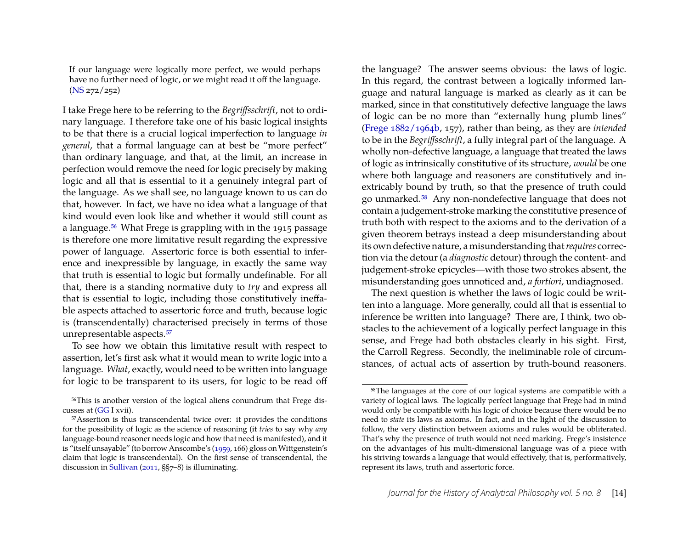If our language were logically more perfect, we would perhaps have no further need of logic, or we might read it off the language. [\(NS](#page-19-0) 272/252)

I take Frege here to be referring to the *Begriffsschrift*, not to ordinary language. I therefore take one of his basic logical insights to be that there is a crucial logical imperfection to language *in general*, that a formal language can at best be "more perfect" than ordinary language, and that, at the limit, an increase in perfection would remove the need for logic precisely by making logic and all that is essential to it a genuinely integral part of the language. As we shall see, no language known to us can do that, however. In fact, we have no idea what a language of that kind would even look like and whether it would still count as a language[.56](#page-14-0) What Frege is grappling with in the 1915 passage is therefore one more limitative result regarding the expressive power of language. Assertoric force is both essential to inference and inexpressible by language, in exactly the same way that truth is essential to logic but formally undefinable. For all that, there is a standing normative duty to *try* and express all that is essential to logic, including those constitutively ineffable aspects attached to assertoric force and truth, because logic is (transcendentally) characterised precisely in terms of those unrepresentable aspects[.57](#page-14-1)

To see how we obtain this limitative result with respect to assertion, let's first ask what it would mean to write logic into a language. *What*, exactly, would need to be written into language for logic to be transparent to its users, for logic to be read off the language? The answer seems obvious: the laws of logic. In this regard, the contrast between a logically informed language and natural language is marked as clearly as it can be marked, since in that constitutively defective language the laws of logic can be no more than "externally hung plumb lines" [\(Frege](#page-20-9) [1882/1964b,](#page-20-9) 157), rather than being, as they are *intended* to be in the *Begriffsschrift*, a fully integral part of the language. A wholly non-defective language, a language that treated the laws of logic as intrinsically constitutive of its structure, *would* be one where both language and reasoners are constitutively and inextricably bound by truth, so that the presence of truth could go unmarked[.58](#page-14-2) Any non-nondefective language that does not contain a judgement-stroke marking the constitutive presence of truth both with respect to the axioms and to the derivation of a given theorem betrays instead a deep misunderstanding about its own defective nature, a misunderstanding that*requires* correction via the detour (a *diagnostic* detour) through the content- and judgement-stroke epicycles—with those two strokes absent, the misunderstanding goes unnoticed and, *a fortiori*, undiagnosed.

The next question is whether the laws of logic could be written into a language. More generally, could all that is essential to inference be written into language? There are, I think, two obstacles to the achievement of a logically perfect language in this sense, and Frege had both obstacles clearly in his sight. First, the Carroll Regress. Secondly, the ineliminable role of circumstances, of actual acts of assertion by truth-bound reasoners.

<span id="page-14-0"></span><sup>56</sup>This is another version of the logical aliens conundrum that Frege discusses at [\(GG](#page-19-3) I xvii).

<span id="page-14-1"></span><sup>57</sup>Assertion is thus transcendental twice over: it provides the conditions for the possibility of logic as the science of reasoning (it *tries* to say why *any* language-bound reasoner needs logic and how that need is manifested), and it is "itself unsayable" (to borrow Anscombe's [\(1959,](#page-19-14) 166) gloss on Wittgenstein's claim that logic is transcendental). On the first sense of transcendental, the discussion in [Sullivan](#page-22-15) [\(2011,](#page-22-15) §§7–8) is illuminating.

<span id="page-14-2"></span><sup>58</sup>The languages at the core of our logical systems are compatible with a variety of logical laws. The logically perfect language that Frege had in mind would only be compatible with his logic of choice because there would be no need to *state* its laws as axioms. In fact, and in the light of the discussion to follow, the very distinction between axioms and rules would be obliterated. That's why the presence of truth would not need marking. Frege's insistence on the advantages of his multi-dimensional language was of a piece with his striving towards a language that would effectively, that is, performatively, represent its laws, truth and assertoric force.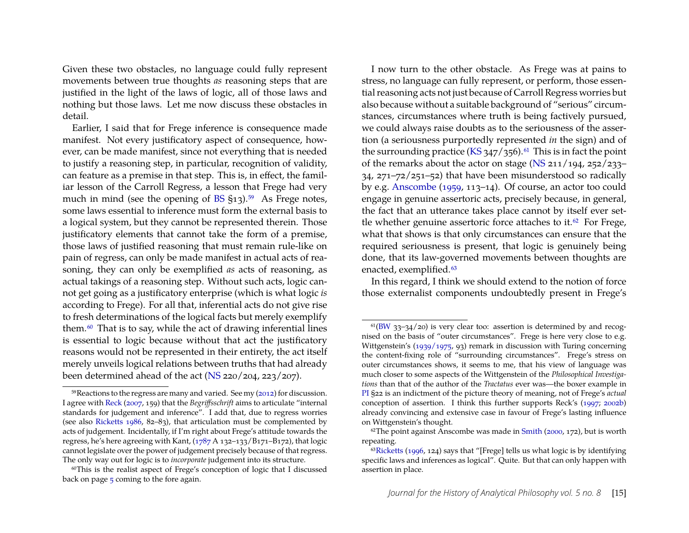Given these two obstacles, no language could fully represent movements between true thoughts *as* reasoning steps that are justified in the light of the laws of logic, all of those laws and nothing but those laws. Let me now discuss these obstacles in detail.

Earlier, I said that for Frege inference is consequence made manifest. Not every justificatory aspect of consequence, however, can be made manifest, since not everything that is needed to justify a reasoning step, in particular, recognition of validity, can feature as a premise in that step. This is, in effect, the familiar lesson of the Carroll Regress, a lesson that Frege had very much in mind (see the opening of [BS](#page-19-7)  $\S$ 13).<sup>59</sup> As Frege notes, some laws essential to inference must form the external basis to a logical system, but they cannot be represented therein. Those justificatory elements that cannot take the form of a premise, those laws of justified reasoning that must remain rule-like on pain of regress, can only be made manifest in actual acts of reasoning, they can only be exemplified *as* acts of reasoning, as actual takings of a reasoning step. Without such acts, logic cannot get going as a justificatory enterprise (which is what logic *is* according to Frege). For all that, inferential acts do not give rise to fresh determinations of the logical facts but merely exemplify them[.60](#page-15-1) That is to say, while the act of drawing inferential lines is essential to logic because without that act the justificatory reasons would not be represented in their entirety, the act itself merely unveils logical relations between truths that had already been determined ahead of the act [\(NS](#page-19-0) 220/204, 223/207).

I now turn to the other obstacle. As Frege was at pains to stress, no language can fully represent, or perform, those essential reasoning acts not just because of Carroll Regress worries but also because without a suitable background of "serious" circumstances, circumstances where truth is being factively pursued, we could always raise doubts as to the seriousness of the assertion (a seriousness purportedly represented *in* the sign) and of the surrounding practice [\(KS](#page-19-6)  $347/356$ ).<sup>61</sup> This is in fact the point of the remarks about the actor on stage [\(NS](#page-19-0) 211/194, 252/233– 34, 271–72/251–52) that have been misunderstood so radically by e.g. [Anscombe](#page-19-14) [\(1959,](#page-19-14) 113–14). Of course, an actor too could engage in genuine assertoric acts, precisely because, in general, the fact that an utterance takes place cannot by itself ever settle whether genuine assertoric force attaches to it. $62$  For Frege, what that shows is that only circumstances can ensure that the required seriousness is present, that logic is genuinely being done, that its law-governed movements between thoughts are enacted, exemplified.<sup>63</sup>

In this regard, I think we should extend to the notion of force those externalist components undoubtedly present in Frege's

<span id="page-15-0"></span> $59$ Reactions to the regress are many and varied. See my  $(2012)$  for discussion. I agree with [Reck](#page-21-5) [\(2007,](#page-21-5) 159) that the *Begriffsschrift* aims to articulate "internal standards for judgement and inference". I add that, due to regress worries (see also [Ricketts](#page-21-12) [1986,](#page-21-12) 82–83), that articulation must be complemented by acts of judgement. Incidentally, if I'm right about Frege's attitude towards the regress, he's here agreeing with Kant, [\(1787](#page-20-17) A 132–133/B171–B172), that logic cannot legislate over the power of judgement precisely because of that regress. The only way out for logic is to *incorporate* judgement into its structure.

<span id="page-15-1"></span><sup>&</sup>lt;sup>60</sup>This is the realist aspect of Frege's conception of logic that I discussed back on page [5](#page-2-2) coming to the fore again.

<span id="page-15-2"></span> $61(BW 33-34/20)$  $61(BW 33-34/20)$  $61(BW 33-34/20)$  is very clear too: assertion is determined by and recognised on the basis of "outer circumstances". Frege is here very close to e.g. Wittgenstein's [\(1939/1975,](#page-22-16) 93) remark in discussion with Turing concerning the content-fixing role of "surrounding circumstances". Frege's stress on outer circumstances shows, it seems to me, that his view of language was much closer to some aspects of the Wittgenstein of the *Philosophical Investigations* than that of the author of the *Tractatus* ever was—the boxer example in [PI](#page-19-10) §22 is an indictment of the picture theory of meaning, not of Frege's *actual* conception of assertion. I think this further supports Reck's [\(1997;](#page-21-18) [2002b\)](#page-21-19) already convincing and extensive case in favour of Frege's lasting influence on Wittgenstein's thought.

<span id="page-15-3"></span> $62$ The point against Anscombe was made in [Smith](#page-22-0) [\(2000,](#page-22-0) 172), but is worth repeating.

<span id="page-15-4"></span> $63Ricketts$  $63Ricketts$  [\(1996,](#page-22-7) 124) says that "[Frege] tells us what logic is by identifying specific laws and inferences as logical". Quite. But that can only happen with assertion in place.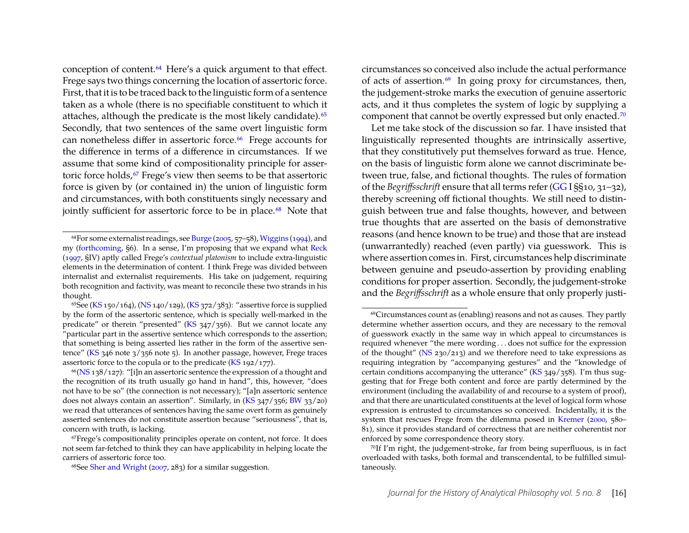conception of content[.64](#page-16-0) Here's a quick argument to that effect. Frege says two things concerning the location of assertoric force. First, that it is to be traced back to the linguistic form of a sentence taken as a whole (there is no specifiable constituent to which it attaches, although the predicate is the most likely candidate).<sup>65</sup> Secondly, that two sentences of the same overt linguistic form can nonetheless differ in assertoric force.<sup>66</sup> Frege accounts for the difference in terms of a difference in circumstances. If we assume that some kind of compositionality principle for assertoric force holds,<sup>67</sup> Frege's view then seems to be that assertoric force is given by (or contained in) the union of linguistic form and circumstances, with both constituents singly necessary and jointly sufficient for assertoric force to be in place.<sup>68</sup> Note that circumstances so conceived also include the actual performance of acts of assertion.<sup>69</sup> In going proxy for circumstances, then, the judgement-stroke marks the execution of genuine assertoric acts, and it thus completes the system of logic by supplying a component that cannot be overtly expressed but only enacted[.70](#page-16-6)

Let me take stock of the discussion so far. I have insisted that linguistically represented thoughts are intrinsically assertive, that they constitutively put themselves forward as true. Hence, on the basis of linguistic form alone we cannot discriminate between true, false, and fictional thoughts. The rules of formation of the *Begriffsschrift* ensure that all terms refer [\(GG](#page-19-3) I §§10, 31–32), thereby screening off fictional thoughts. We still need to distinguish between true and false thoughts, however, and between true thoughts that are asserted on the basis of demonstrative reasons (and hence known to be true) and those that are instead (unwarrantedly) reached (even partly) via guesswork. This is where assertion comes in. First, circumstances help discriminate between genuine and pseudo-assertion by providing enabling conditions for proper assertion. Secondly, the judgement-stroke and the *Begriffsschrift* as a whole ensure that only properly justi-

<span id="page-16-0"></span><sup>64</sup>For some externalist readings, see [Burge](#page-20-18) [\(2005,](#page-20-18) 57–58), [Wiggins](#page-22-17) [\(1994\)](#page-22-17), and my [\(forthcoming,](#page-21-8) §6). In a sense, I'm proposing that we expand what [Reck](#page-21-18) [\(1997,](#page-21-18) §IV) aptly called Frege's *contextual platonism* to include extra-linguistic elements in the determination of content. I think Frege was divided between internalist and externalist requirements. His take on judgement, requiring both recognition and factivity, was meant to reconcile these two strands in his thought.

<span id="page-16-1"></span><sup>65</sup>See [\(KS](#page-19-6) 150/164), [\(NS](#page-19-0) 140/129), [\(KS](#page-19-6) 372/383): "assertive force is supplied by the form of the assertoric sentence, which is specially well-marked in the predicate" or therein "presented" [\(KS](#page-19-6)  $347/356$ ). But we cannot locate any "particular part in the assertive sentence which corresponds to the assertion; that something is being asserted lies rather in the form of the assertive sentence" [\(KS](#page-19-6) 346 note 3/356 note 5). In another passage, however, Frege traces assertoric force to the copula or to the predicate [\(KS](#page-19-6) 192/177).

<span id="page-16-2"></span> $66$ [\(NS](#page-19-0) 138/127): "[i]n an assertoric sentence the expression of a thought and the recognition of its truth usually go hand in hand", this, however, "does not have to be so" (the connection is not necessary); "[a]n assertoric sentence does not always contain an assertion". Similarly, in [\(KS](#page-19-6) 347/356; [BW](#page-19-2) 33/20) we read that utterances of sentences having the same overt form as genuinely asserted sentences do not constitute assertion because "seriousness", that is, concern with truth, is lacking.

<span id="page-16-3"></span><sup>67</sup>Frege's compositionality principles operate on content, not force. It does not seem far-fetched to think they can have applicability in helping locate the carriers of assertoric force too.

<span id="page-16-4"></span><sup>68</sup>See [Sher and Wright](#page-22-18) [\(2007,](#page-22-18) 283) for a similar suggestion.

<span id="page-16-5"></span><sup>69</sup>Circumstances count as (enabling) reasons and not as causes. They partly determine whether assertion occurs, and they are necessary to the removal of guesswork exactly in the same way in which appeal to circumstances is required whenever "the mere wording . . . does not suffice for the expression of the thought" [\(NS](#page-19-0) 230/213) and we therefore need to take expressions as requiring integration by "accompanying gestures" and the "knowledge of certain conditions accompanying the utterance" [\(KS](#page-19-6) 349/358). I'm thus suggesting that for Frege both content and force are partly determined by the environment (including the availability of and recourse to a system of proof), and that there are unarticulated constituents at the level of logical form whose expression is entrusted to circumstances so conceived. Incidentally, it is the system that rescues Frege from the dilemma posed in [Kremer](#page-21-2) [\(2000,](#page-21-2) 580– 81), since it provides standard of correctness that are neither coherentist nor enforced by some correspondence theory story.

<span id="page-16-6"></span><sup>70</sup>If I'm right, the judgement-stroke, far from being superfluous, is in fact overloaded with tasks, both formal and transcendental, to be fulfilled simultaneously.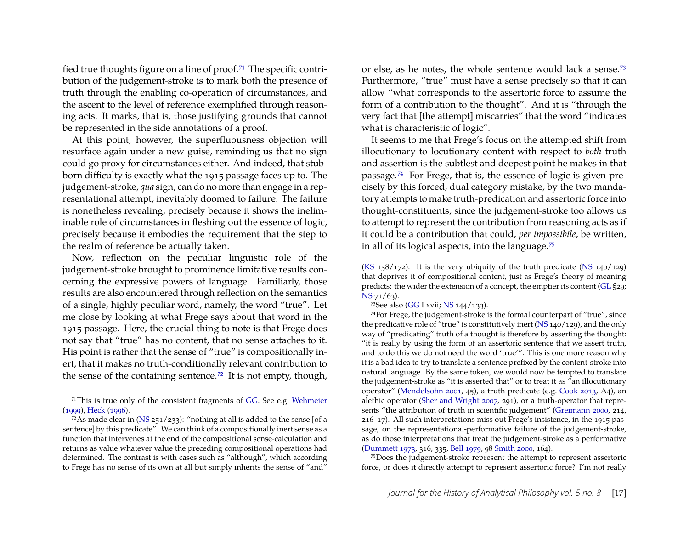fied true thoughts figure on a line of proof.<sup>71</sup> The specific contribution of the judgement-stroke is to mark both the presence of truth through the enabling co-operation of circumstances, and the ascent to the level of reference exemplified through reasoning acts. It marks, that is, those justifying grounds that cannot be represented in the side annotations of a proof.

At this point, however, the superfluousness objection will resurface again under a new guise, reminding us that no sign could go proxy for circumstances either. And indeed, that stubborn difficulty is exactly what the 1915 passage faces up to. The judgement-stroke, *qua* sign, can do no more than engage in a representational attempt, inevitably doomed to failure. The failure is nonetheless revealing, precisely because it shows the ineliminable role of circumstances in fleshing out the essence of logic, precisely because it embodies the requirement that the step to the realm of reference be actually taken.

Now, reflection on the peculiar linguistic role of the judgement-stroke brought to prominence limitative results concerning the expressive powers of language. Familiarly, those results are also encountered through reflection on the semantics of a single, highly peculiar word, namely, the word "true". Let me close by looking at what Frege says about that word in the 1915 passage. Here, the crucial thing to note is that Frege does not say that "true" has no content, that no sense attaches to it. His point is rather that the sense of "true" is compositionally inert, that it makes no truth-conditionally relevant contribution to the sense of the containing sentence[.72](#page-17-2) It is not empty, though, or else, as he notes, the whole sentence would lack a sense[.73](#page-17-3) Furthermore, "true" must have a sense precisely so that it can allow "what corresponds to the assertoric force to assume the form of a contribution to the thought". And it is "through the very fact that [the attempt] miscarries" that the word "indicates what is characteristic of logic".

It seems to me that Frege's focus on the attempted shift from illocutionary to locutionary content with respect to *both* truth and assertion is the subtlest and deepest point he makes in that passage[.74](#page-17-0) For Frege, that is, the essence of logic is given precisely by this forced, dual category mistake, by the two mandatory attempts to make truth-predication and assertoric force into thought-constituents, since the judgement-stroke too allows us to attempt to represent the contribution from reasoning acts as if it could be a contribution that could, *per impossibile*, be written, in all of its logical aspects, into the language[.75](#page-17-4)

74For Frege, the judgement-stroke is the formal counterpart of "true", since the predicative role of "true" is constitutively inert [\(NS](#page-19-0) 140/129), and the only way of "predicating" truth of a thought is therefore by asserting the thought: "it is really by using the form of an assertoric sentence that we assert truth, and to do this we do not need the word 'true'". This is one more reason why it is a bad idea to try to translate a sentence prefixed by the content-stroke into natural language. By the same token, we would now be tempted to translate the judgement-stroke as "it is asserted that" or to treat it as "an illocutionary operator" [\(Mendelsohn](#page-21-20) [2001,](#page-21-20) 45), a truth predicate (e.g. [Cook](#page-20-20) [2013,](#page-20-20) A4), an alethic operator [\(Sher and Wright](#page-22-18) [2007,](#page-22-18) 291), or a truth-operator that represents "the attribution of truth in scientific judgement" [\(Greimann](#page-20-0) [2000,](#page-20-0) 214, 216–17). All such interpretations miss out Frege's insistence, in the 1915 passage, on the representational-performative failure of the judgement-stroke, as do those interpretations that treat the judgement-stroke as a performative [\(Dummett](#page-20-5) [1973,](#page-20-5) 316, 335, [Bell](#page-19-5) [1979,](#page-19-5) 98 [Smith](#page-22-0) [2000,](#page-22-0) 164).

<span id="page-17-4"></span>75Does the judgement-stroke represent the attempt to represent assertoric force, or does it directly attempt to represent assertoric force? I'm not really

<span id="page-17-1"></span><sup>71</sup>This is true only of the consistent fragments of [GG.](#page-19-3) See e.g. [Wehmeier](#page-22-19) [\(1999\)](#page-22-19), [Heck](#page-20-19) [\(1996\)](#page-20-19).

<span id="page-17-2"></span> $72$ As made clear in [\(NS](#page-19-0) 251/233): "nothing at all is added to the sense [of a sentence] by this predicate". We can think of a compositionally inert sense as a function that intervenes at the end of the compositional sense-calculation and returns as value whatever value the preceding compositional operations had determined. The contrast is with cases such as "although", which according to Frege has no sense of its own at all but simply inherits the sense of "and"

[<sup>\(</sup>KS](#page-19-6) 158/172). It is the very ubiquity of the truth predicate [\(NS](#page-19-0) 140/129) that deprives it of compositional content, just as Frege's theory of meaning predicts: the wider the extension of a concept, the emptier its content [\(GL](#page-19-9) §29; [NS](#page-19-0) 71/63).

<span id="page-17-3"></span><span id="page-17-0"></span><sup>73</sup>See also [\(GG](#page-19-3) I xvii; [NS](#page-19-0) 144/133).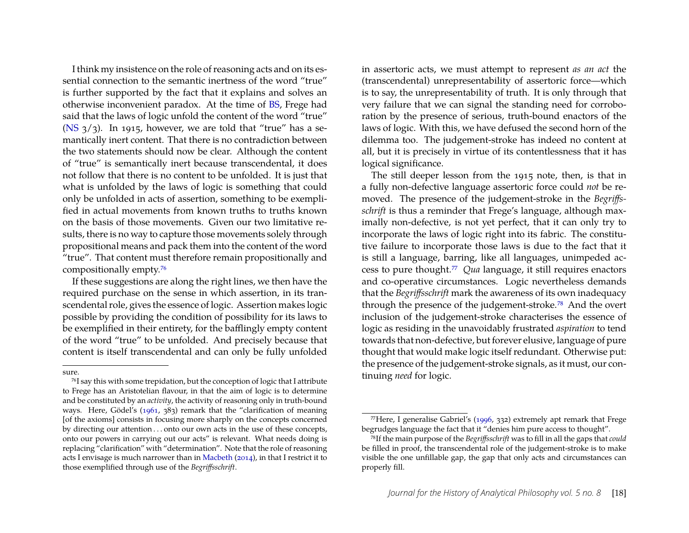I think my insistence on the role of reasoning acts and on its essential connection to the semantic inertness of the word "true" is further supported by the fact that it explains and solves an otherwise inconvenient paradox. At the time of [BS,](#page-19-7) Frege had said that the laws of logic unfold the content of the word "true" [\(NS](#page-19-0)  $3/3$ ). In 1915, however, we are told that "true" has a semantically inert content. That there is no contradiction between the two statements should now be clear. Although the content of "true" is semantically inert because transcendental, it does not follow that there is no content to be unfolded. It is just that what is unfolded by the laws of logic is something that could only be unfolded in acts of assertion, something to be exemplified in actual movements from known truths to truths known on the basis of those movements. Given our two limitative results, there is no way to capture those movements solely through propositional means and pack them into the content of the word "true". That content must therefore remain propositionally and compositionally empty[.76](#page-18-0)

If these suggestions are along the right lines, we then have the required purchase on the sense in which assertion, in its transcendental role, gives the essence of logic. Assertion makes logic possible by providing the condition of possibility for its laws to be exemplified in their entirety, for the bafflingly empty content of the word "true" to be unfolded. And precisely because that content is itself transcendental and can only be fully unfolded

in assertoric acts, we must attempt to represent *as an act* the (transcendental) unrepresentability of assertoric force—which is to say, the unrepresentability of truth. It is only through that very failure that we can signal the standing need for corroboration by the presence of serious, truth-bound enactors of the laws of logic. With this, we have defused the second horn of the dilemma too. The judgement-stroke has indeed no content at all, but it is precisely in virtue of its contentlessness that it has logical significance.

The still deeper lesson from the 1915 note, then, is that in a fully non-defective language assertoric force could *not* be removed. The presence of the judgement-stroke in the *Begriffsschrift* is thus a reminder that Frege's language, although maximally non-defective, is not yet perfect, that it can only try to incorporate the laws of logic right into its fabric. The constitutive failure to incorporate those laws is due to the fact that it is still a language, barring, like all languages, unimpeded access to pure thought[.77](#page-18-1) *Qua* language, it still requires enactors and co-operative circumstances. Logic nevertheless demands that the *Begriffsschrift* mark the awareness of its own inadequacy through the presence of the judgement-stroke[.78](#page-18-2) And the overt inclusion of the judgement-stroke characterises the essence of logic as residing in the unavoidably frustrated *aspiration* to tend towards that non-defective, but forever elusive, language of pure thought that would make logic itself redundant. Otherwise put: the presence of the judgement-stroke signals, as it must, our continuing *need* for logic.

sure.

<span id="page-18-0"></span><sup>76</sup>I say this with some trepidation, but the conception of logic that I attribute to Frege has an Aristotelian flavour, in that the aim of logic is to determine and be constituted by an *activity*, the activity of reasoning only in truth-bound ways. Here, Gödel's [\(1961,](#page-20-21) 383) remark that the "clarification of meaning [of the axioms] consists in focusing more sharply on the concepts concerned by directing our attention . . . onto our own acts in the use of these concepts, onto our powers in carrying out our acts" is relevant. What needs doing is replacing "clarification" with "determination". Note that the role of reasoning acts I envisage is much narrower than in [Macbeth](#page-21-6) [\(2014\)](#page-21-6), in that I restrict it to those exemplified through use of the *Begriffsschrift*.

<span id="page-18-1"></span> $^{77}$ Here, I generalise Gabriel's [\(1996,](#page-20-3) 332) extremely apt remark that Frege begrudges language the fact that it "denies him pure access to thought".

<span id="page-18-2"></span><sup>78</sup>If the main purpose of the *Begriffsschrift* was to fill in all the gaps that *could* be filled in proof, the transcendental role of the judgement-stroke is to make visible the one unfillable gap, the gap that only acts and circumstances can properly fill.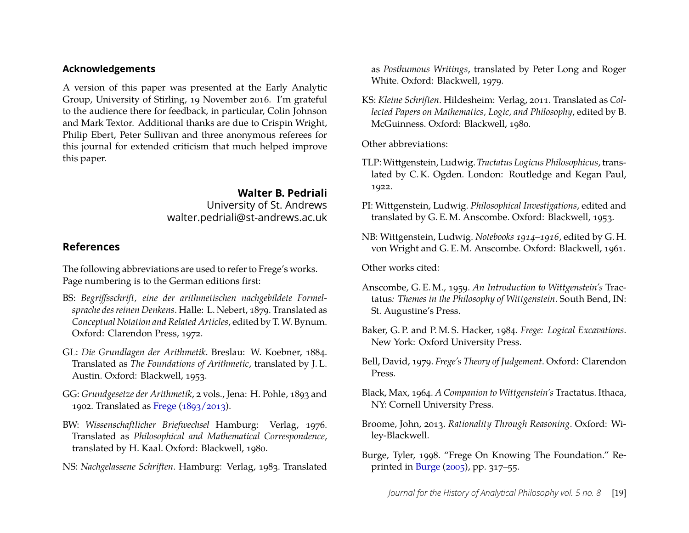#### **Acknowledgements**

A version of this paper was presented at the Early Analytic Group, University of Stirling, 19 November 2016. I'm grateful to the audience there for feedback, in particular, Colin Johnson and Mark Textor. Additional thanks are due to Crispin Wright, Philip Ebert, Peter Sullivan and three anonymous referees for this journal for extended criticism that much helped improve this paper.

> **Walter B. Pedriali** University of St. Andrews walter.pedriali@st-andrews.ac.uk

### **References**

The following abbreviations are used to refer to Frege's works. Page numbering is to the German editions first:

- <span id="page-19-7"></span>BS: *Begriffsschrift, eine der arithmetischen nachgebildete Formelsprache des reinen Denkens*. Halle: L. Nebert, 1879. Translated as *Conceptual Notation and Related Articles*, edited by T. W. Bynum. Oxford: Clarendon Press, 1972.
- <span id="page-19-9"></span>GL: *Die Grundlagen der Arithmetik*. Breslau: W. Koebner, 1884. Translated as *The Foundations of Arithmetic*, translated by J. L. Austin. Oxford: Blackwell, 1953.
- <span id="page-19-3"></span>GG: *Grundgesetze der Arithmetik*, 2 vols., Jena: H. Pohle, 1893 and 1902. Translated as [Frege](#page-20-22) [\(1893/2013\)](#page-20-22).
- <span id="page-19-2"></span>BW: *Wissenschaftlicher Briefwechsel* Hamburg: Verlag, 1976. Translated as *Philosophical and Mathematical Correspondence*, translated by H. Kaal. Oxford: Blackwell, 1980.
- <span id="page-19-0"></span>NS: *Nachgelassene Schriften*. Hamburg: Verlag, 1983. Translated

as *Posthumous Writings*, translated by Peter Long and Roger White. Oxford: Blackwell, 1979.

<span id="page-19-6"></span>KS: *Kleine Schriften*. Hildesheim: Verlag, 2011. Translated as *Collected Papers on Mathematics, Logic, and Philosophy*, edited by B. McGuinness. Oxford: Blackwell, 1980.

Other abbreviations:

- <span id="page-19-4"></span>TLP:Wittgenstein, Ludwig. *Tractatus Logicus Philosophicus*, translated by C. K. Ogden. London: Routledge and Kegan Paul, 1922.
- <span id="page-19-10"></span>PI: Wittgenstein, Ludwig. *Philosophical Investigations*, edited and translated by G. E. M. Anscombe. Oxford: Blackwell, 1953.
- <span id="page-19-1"></span>NB: Wittgenstein, Ludwig. *Notebooks 1914–1916*, edited by G. H. von Wright and G. E. M. Anscombe. Oxford: Blackwell, 1961.

Other works cited:

- <span id="page-19-14"></span>Anscombe, G. E. M., 1959. *An Introduction to Wittgenstein's* Tractatus*: Themes in the Philosophy of Wittgenstein*. South Bend, IN: St. Augustine's Press.
- <span id="page-19-11"></span>Baker, G. P. and P. M. S. Hacker, 1984. *Frege: Logical Excavations*. New York: Oxford University Press.
- <span id="page-19-5"></span>Bell, David, 1979. *Frege's Theory of Judgement*. Oxford: Clarendon Press.
- <span id="page-19-12"></span>Black, Max, 1964. *A Companion to Wittgenstein's* Tractatus. Ithaca, NY: Cornell University Press.
- <span id="page-19-13"></span>Broome, John, 2013. *Rationality Through Reasoning*. Oxford: Wiley-Blackwell.
- <span id="page-19-8"></span>Burge, Tyler, 1998. "Frege On Knowing The Foundation." Reprinted in [Burge](#page-20-18) [\(2005\)](#page-20-18), pp. 317–55.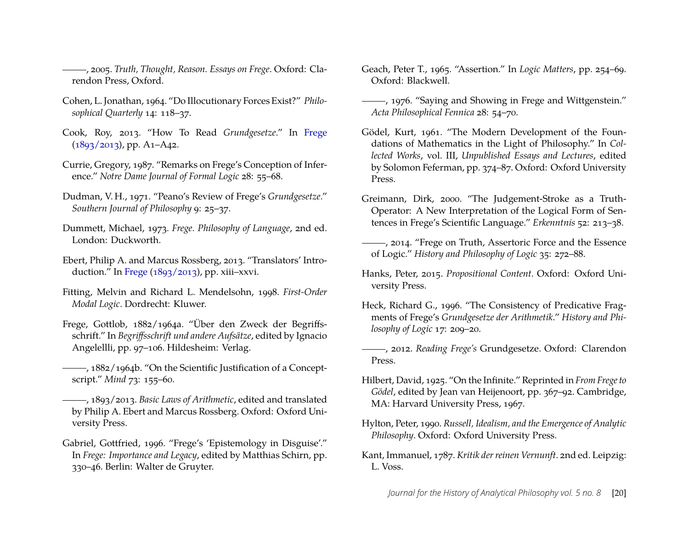<span id="page-20-18"></span>, 2005. *Truth, Thought, Reason. Essays on Frege*. Oxford: Clarendon Press, Oxford.

- <span id="page-20-15"></span>Cohen, L. Jonathan, 1964. "Do Illocutionary Forces Exist?" *Philosophical Quarterly* 14: 118–37.
- <span id="page-20-20"></span>Cook, Roy, 2013. "How To Read *Grundgesetze*." In [Frege](#page-20-22)  $(1893/2013)$ , pp. A1–A42.
- <span id="page-20-2"></span>Currie, Gregory, 1987. "Remarks on Frege's Conception of Inference." *Notre Dame Journal of Formal Logic* 28: 55–68.
- <span id="page-20-13"></span>Dudman, V. H., 1971. "Peano's Review of Frege's *Grundgesetze*." *Southern Journal of Philosophy* 9: 25–37.
- <span id="page-20-5"></span>Dummett, Michael, 1973. *Frege. Philosophy of Language*, 2nd ed. London: Duckworth.
- <span id="page-20-7"></span>Ebert, Philip A. and Marcus Rossberg, 2013. "Translators' Introduction." In [Frege](#page-20-22) [\(1893/2013\)](#page-20-22), pp. xiii–xxvi.
- <span id="page-20-16"></span>Fitting, Melvin and Richard L. Mendelsohn, 1998. *First-Order Modal Logic*. Dordrecht: Kluwer.
- <span id="page-20-6"></span>Frege, Gottlob, 1882/1964a. "Über den Zweck der Begriffsschrift." In *Begriffsschrift und andere Aufsätze*, edited by Ignacio Angelellli, pp. 97–106. Hildesheim: Verlag.
- <span id="page-20-9"></span>-, 1882/1964b. "On the Scientific Justification of a Conceptscript." *Mind* 73: 155–60.
- <span id="page-20-22"></span>, 1893/2013. *Basic Laws of Arithmetic*, edited and translated by Philip A. Ebert and Marcus Rossberg. Oxford: Oxford University Press.
- <span id="page-20-3"></span>Gabriel, Gottfried, 1996. "Frege's 'Epistemology in Disguise'." In *Frege: Importance and Legacy*, edited by Matthias Schirn, pp. 330–46. Berlin: Walter de Gruyter.
- <span id="page-20-4"></span>Geach, Peter T., 1965. "Assertion." In *Logic Matters*, pp. 254–69. Oxford: Blackwell.
- <span id="page-20-14"></span>(1976. "Saying and Showing in Frege and Wittgenstein." *Acta Philosophical Fennica* 28: 54–70.
- <span id="page-20-21"></span>Gödel, Kurt, 1961. "The Modern Development of the Foundations of Mathematics in the Light of Philosophy." In *Collected Works*, vol. III, *Unpublished Essays and Lectures*, edited by Solomon Feferman, pp. 374–87. Oxford: Oxford University Press.
- <span id="page-20-0"></span>Greimann, Dirk, 2000. "The Judgement-Stroke as a Truth-Operator: A New Interpretation of the Logical Form of Sentences in Frege's Scientific Language." *Erkenntnis* 52: 213–38.
- <span id="page-20-1"></span>(2014. "Frege on Truth, Assertoric Force and the Essence of Logic." *History and Philosophy of Logic* 35: 272–88.
- <span id="page-20-8"></span>Hanks, Peter, 2015. *Propositional Content*. Oxford: Oxford University Press.
- <span id="page-20-19"></span>Heck, Richard G., 1996. "The Consistency of Predicative Fragments of Frege's *Grundgesetze der Arithmetik*." *History and Philosophy of Logic* 17: 209–20.
- <span id="page-20-12"></span>, 2012. *Reading Frege's* Grundgesetze. Oxford: Clarendon Press.
- <span id="page-20-10"></span>Hilbert, David, 1925. "On the Infinite." Reprinted in *From Frege to Gödel*, edited by Jean van Heijenoort, pp. 367–92. Cambridge, MA: Harvard University Press, 1967.
- <span id="page-20-11"></span>Hylton, Peter, 1990. *Russell, Idealism, and the Emergence of Analytic Philosophy*. Oxford: Oxford University Press.
- <span id="page-20-17"></span>Kant, Immanuel, 1787. *Kritik der reinen Vernunft*. 2nd ed. Leipzig: L. Voss.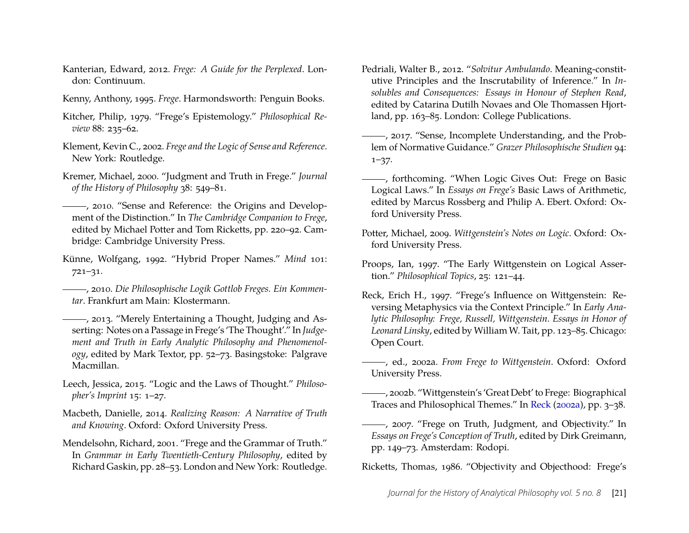- <span id="page-21-10"></span>Kanterian, Edward, 2012. *Frege: A Guide for the Perplexed*. London: Continuum.
- <span id="page-21-13"></span>Kenny, Anthony, 1995. *Frege*. Harmondsworth: Penguin Books.
- <span id="page-21-1"></span>Kitcher, Philip, 1979. "Frege's Epistemology." *Philosophical Review* 88: 235–62.
- <span id="page-21-9"></span>Klement, Kevin C., 2002. *Frege and the Logic of Sense and Reference*. New York: Routledge.
- <span id="page-21-2"></span>Kremer, Michael, 2000. "Judgment and Truth in Frege." *Journal of the History of Philosophy* 38: 549–81.
- <span id="page-21-16"></span>, 2010. "Sense and Reference: the Origins and Development of the Distinction." In *The Cambridge Companion to Frege*, edited by Michael Potter and Tom Ricketts, pp. 220–92. Cambridge: Cambridge University Press.
- <span id="page-21-0"></span>Künne, Wolfgang, 1992. "Hybrid Proper Names." *Mind* 101: 721–31.
- <span id="page-21-3"></span>, 2010. *Die Philosophische Logik Gottlob Freges. Ein Kommentar*. Frankfurt am Main: Klostermann.
- <span id="page-21-4"></span>, 2013. "Merely Entertaining a Thought, Judging and Asserting: Notes on a Passage in Frege's 'The Thought'." In *Judgement and Truth in Early Analytic Philosophy and Phenomenology*, edited by Mark Textor, pp. 52–73. Basingstoke: Palgrave Macmillan.
- <span id="page-21-7"></span>Leech, Jessica, 2015. "Logic and the Laws of Thought." *Philosopher's Imprint* 15: 1–27.
- <span id="page-21-6"></span>Macbeth, Danielle, 2014. *Realizing Reason: A Narrative of Truth and Knowing*. Oxford: Oxford University Press.
- <span id="page-21-20"></span>Mendelsohn, Richard, 2001. "Frege and the Grammar of Truth." In *Grammar in Early Twentieth-Century Philosophy*, edited by Richard Gaskin, pp. 28–53. London and New York: Routledge.
- <span id="page-21-17"></span>Pedriali, Walter B., 2012. "*Solvitur Ambulando*. Meaning-constitutive Principles and the Inscrutability of Inference." In *Insolubles and Consequences: Essays in Honour of Stephen Read*, edited by Catarina Dutilh Novaes and Ole Thomassen Hjortland, pp. 163–85. London: College Publications.
- <span id="page-21-15"></span>- , 2017. "Sense, Incomplete Understanding, and the Problem of Normative Guidance." *Grazer Philosophische Studien* 94: 1–37.
- <span id="page-21-8"></span>-, forthcoming. "When Logic Gives Out: Frege on Basic Logical Laws." In *Essays on Frege's* Basic Laws of Arithmetic, edited by Marcus Rossberg and Philip A. Ebert. Oxford: Oxford University Press.
- <span id="page-21-11"></span>Potter, Michael, 2009. *Wittgenstein's Notes on Logic*. Oxford: Oxford University Press.
- <span id="page-21-14"></span>Proops, Ian, 1997. "The Early Wittgenstein on Logical Assertion." *Philosophical Topics*, 25: 121–44.
- <span id="page-21-18"></span>Reck, Erich H., 1997. "Frege's Influence on Wittgenstein: Reversing Metaphysics via the Context Principle." In *Early Analytic Philosophy: Frege, Russell, Wittgenstein. Essays in Honor of Leonard Linsky*, edited by William W. Tait, pp. 123–85. Chicago: Open Court.
- <span id="page-21-21"></span>, ed., 2002a. *From Frege to Wittgenstein*. Oxford: Oxford University Press.
- <span id="page-21-19"></span>, 2002b. "Wittgenstein's 'Great Debt' to Frege: Biographical Traces and Philosophical Themes." In [Reck](#page-21-21) [\(2002a\)](#page-21-21), pp. 3–38.
- <span id="page-21-5"></span>, 2007. "Frege on Truth, Judgment, and Objectivity." In *Essays on Frege's Conception of Truth*, edited by Dirk Greimann, pp. 149–73. Amsterdam: Rodopi.

<span id="page-21-12"></span>Ricketts, Thomas, 1986. "Objectivity and Objecthood: Frege's